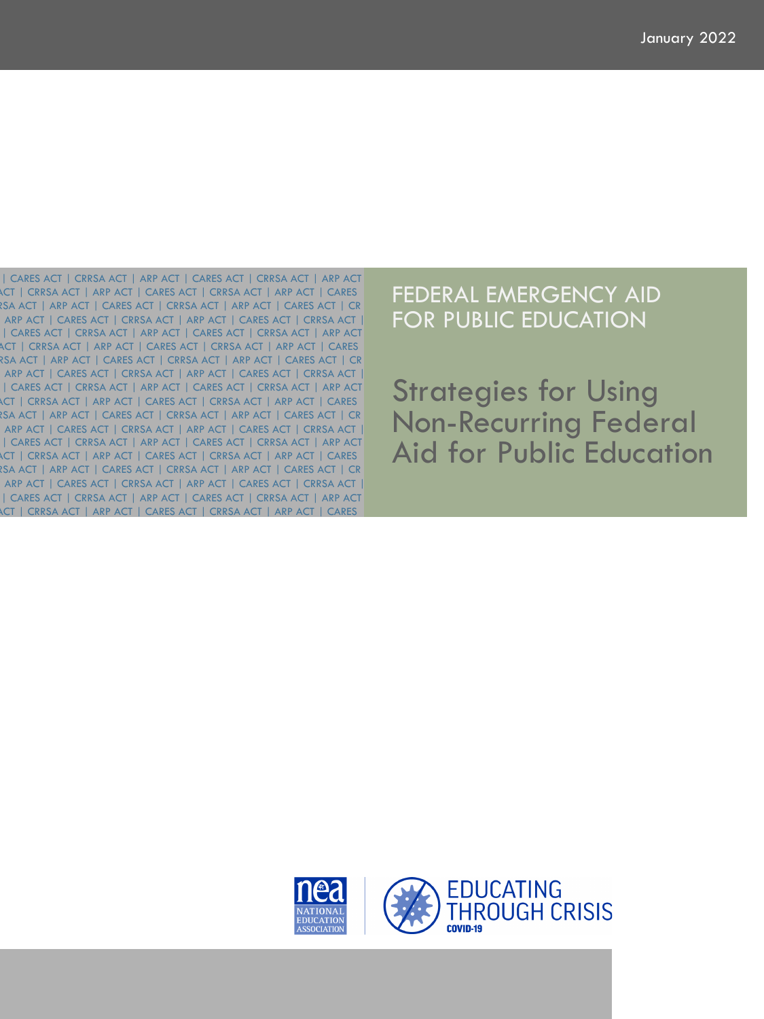ACT | CRRSA ACT | ARP ACT | CARES ACT | CRRSA ACT | ARP ACT | CARES | CARES ACT | CRRSA ACT | ARP ACT | CARES ACT | CRRSA ACT | ARP ACT ACT | CRRSA ACT | ARP ACT | CARES ACT | CRRSA ACT | ARP ACT | CARES RSA ACT | ARP ACT | CARES ACT | CRRSA ACT | ARP ACT | CARES ACT | CR ARP ACT | CARES ACT | CRRSA ACT | ARP ACT | CARES ACT | CRRSA ACT | ACT | CRRSA ACT | ARP ACT | CARES ACT | CRRSA ACT | ARP ACT | CARES RSA ACT | ARP ACT | CARES ACT | CRRSA ACT | ARP ACT | CARES ACT | CR ARP ACT | CARES ACT | CRRSA ACT | ARP ACT | CARES ACT | CRRSA ACT | ACT | CRRSA ACT | ARP ACT | CARES ACT | CRRSA ACT | ARP ACT | CARES RSA ACT | ARP ACT | CARES ACT | CRRSA ACT | ARP ACT | CARES ACT | CR ARP ACT | CARES ACT | CRRSA ACT | ARP ACT | CARES ACT | CRRSA ACT | ACT | CRRSA ACT | ARP ACT | CARES ACT | CRRSA ACT | ARP ACT | CARES RSA ACT | ARP ACT | CARES ACT | CRRSA ACT | ARP ACT | CARES ACT | CR ARP ACT | CARES ACT | CRRSA ACT | ARP ACT | CARES ACT | CRRSA ACT | | CARES ACT | CRRSA ACT | ARP ACT | CARES ACT | CRRSA ACT | ARP ACT | CARES ACT | CRRSA ACT | ARP ACT | CARES ACT | CRRSA ACT | ARP ACT | CARES ACT | CRRSA ACT | ARP ACT | CARES ACT | CRRSA ACT | ARP ACT | CARES ACT | CRRSA ACT | ARP ACT | CARES ACT | CRRSA ACT | ARP ACT

## FEDERAL EMERGENCY AID FOR PUBLIC EDUCATION

Strategies for Using Non-Recurring Federal Aid for Public Education

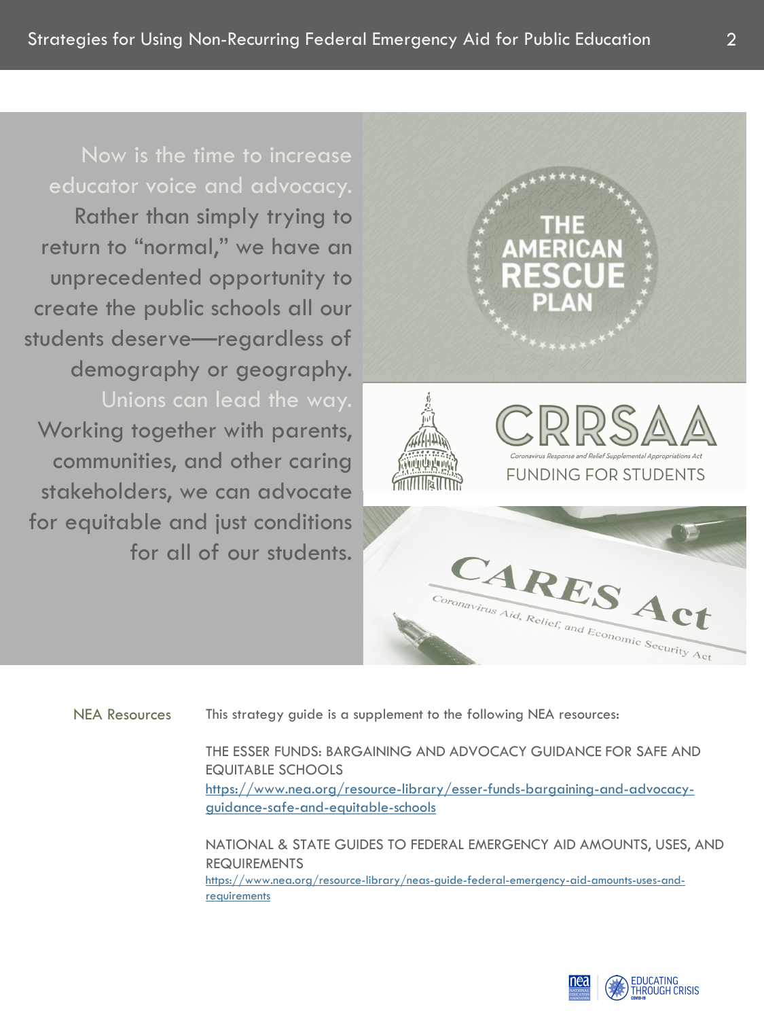## Now is the time to increase educator voice and advocacy.

Rather than simply trying to return to "normal," we have an unprecedented opportunity to create the public schools all our students deserve—regardless of demography or geography. Unions can lead the way. Working together with parents, communities, and other caring stakeholders, we can advocate for equitable and just conditions for all of our students.



NEA Resources This strategy guide is a supplement to the following NEA resources:

THE ESSER FUNDS: BARGAINING AND ADVOCACY GUIDANCE FOR SAFE AND EQUITABLE SCHOOLS [https://www.nea.org/resource-library/esser-funds-bargaining-and-advocacy](https://www.nea.org/resource-library/esser-funds-bargaining-and-advocacy-guidance-safe-and-equitable-schools)guidance-safe-and-equitable-schools

NATIONAL & STATE GUIDES TO FEDERAL EMERGENCY AID AMOUNTS, USES, AND REQUIREMENTS [https://www.nea.org/resource-library/neas-guide-federal-emergency-aid-amounts-uses-and](https://www.nea.org/resource-library/neas-guide-federal-emergency-aid-amounts-uses-and-requirements)requirements

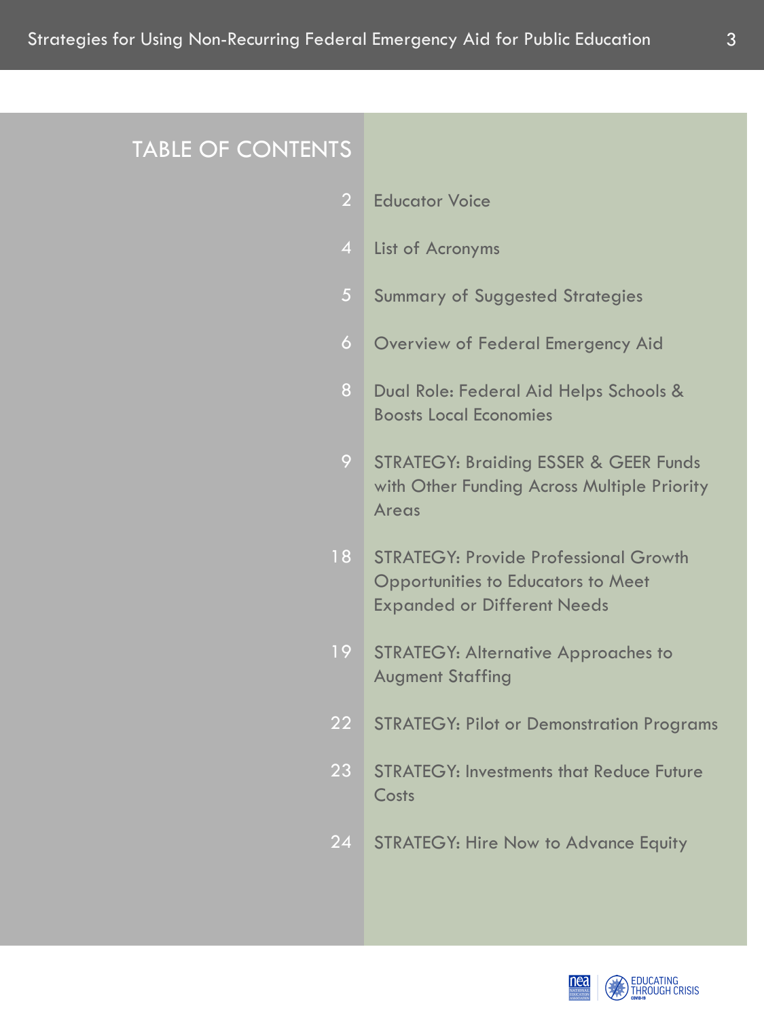## TABLE OF CONTENTS

- Educator Voice 2
- List of Acronyms
- Summary of Suggested Strategies 5
- Overview of Federal Emergency Aid 6
- Dual Role: Federal Aid Helps Schools & Boosts Local Economies 8
- STRATEGY: Braiding ESSER & GEER Funds with Other Funding Across Multiple Priority Areas 9
- STRATEGY: Provide Professional Growth Opportunities to Educators to Meet Expanded or Different Needs 18
- STRATEGY: Alternative Approaches to Augment Staffing 19
- STRATEGY: Pilot or Demonstration Programs 22
- STRATEGY: Investments that Reduce Future Costs 23
- STRATEGY: Hire Now to Advance Equity 24

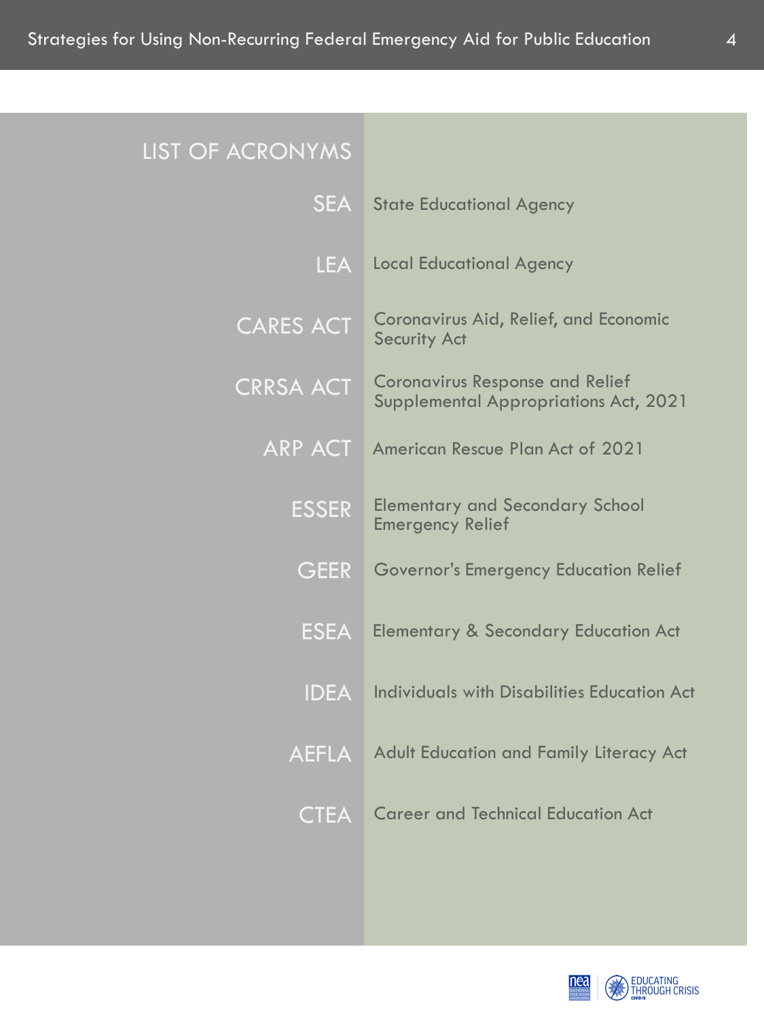LIST O

| F ACRONYMS       |                                                                                 |
|------------------|---------------------------------------------------------------------------------|
| <b>SEA</b>       | <b>State Educational Agency</b>                                                 |
| <b>LEA</b>       | <b>Local Educational Agency</b>                                                 |
| <b>CARES ACT</b> | <b>Coronavirus Aid, Relief, and Economic</b><br><b>Security Act</b>             |
| <b>CRRSA ACT</b> | <b>Coronavirus Response and Relief</b><br>Supplemental Appropriations Act, 2021 |
| <b>ARP ACT</b>   | <b>American Rescue Plan Act of 2021</b>                                         |
| <b>ESSER</b>     | <b>Elementary and Secondary School</b><br><b>Emergency Relief</b>               |
| <b>GEER</b>      | <b>Governor's Emergency Education Relief</b>                                    |
| <b>ESEA</b>      | <b>Elementary &amp; Secondary Education Act</b>                                 |
| <b>IDEA</b>      | <b>Individuals with Disabilities Education Act</b>                              |
| <b>AEFLA</b>     | <b>Adult Education and Family Literacy Act</b>                                  |
| <b>CTEA</b>      | <b>Career and Technical Education Act</b>                                       |
|                  |                                                                                 |

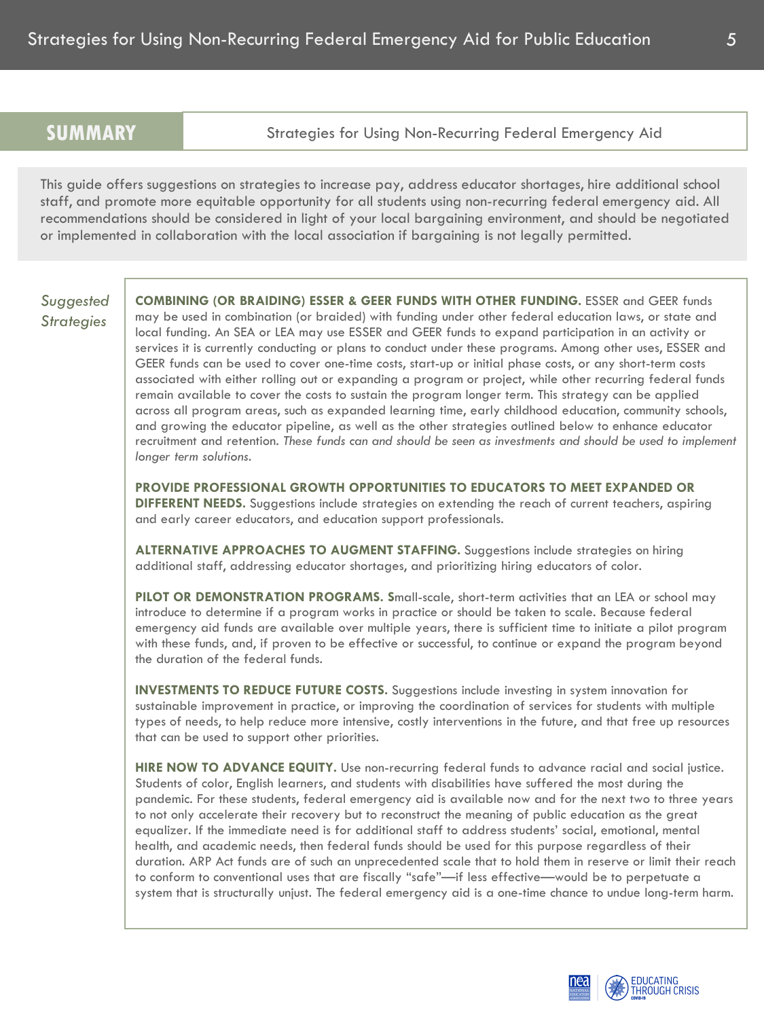**SUMMARY** Strategies for Using Non-Recurring Federal Emergency Aid

This guide offers suggestions on strategies to increase pay, address educator shortages, hire additional school staff, and promote more equitable opportunity for all students using non-recurring federal emergency aid. All recommendations should be considered in light of your local bargaining environment, and should be negotiated or implemented in collaboration with the local association if bargaining is not legally permitted.

## *Suggested Strategies*

**COMBINING (OR BRAIDING) ESSER & GEER FUNDS WITH OTHER FUNDING.** ESSER and GEER funds may be used in combination (or braided) with funding under other federal education laws, or state and local funding. An SEA or LEA may use ESSER and GEER funds to expand participation in an activity or services it is currently conducting or plans to conduct under these programs. Among other uses, ESSER and GEER funds can be used to cover one-time costs, start-up or initial phase costs, or any short-term costs associated with either rolling out or expanding a program or project, while other recurring federal funds remain available to cover the costs to sustain the program longer term. This strategy can be applied across all program areas, such as expanded learning time, early childhood education, community schools, and growing the educator pipeline, as well as the other strategies outlined below to enhance educator recruitment and retention. *These funds can and should be seen as investments and should be used to implement longer term solutions.*

**PROVIDE PROFESSIONAL GROWTH OPPORTUNITIES TO EDUCATORS TO MEET EXPANDED OR DIFFERENT NEEDS.** Suggestions include strategies on extending the reach of current teachers, aspiring and early career educators, and education support professionals.

**ALTERNATIVE APPROACHES TO AUGMENT STAFFING.** Suggestions include strategies on hiring additional staff, addressing educator shortages, and prioritizing hiring educators of color.

**PILOT OR DEMONSTRATION PROGRAMS. S**mall-scale, short-term activities that an LEA or school may introduce to determine if a program works in practice or should be taken to scale. Because federal emergency aid funds are available over multiple years, there is sufficient time to initiate a pilot program with these funds, and, if proven to be effective or successful, to continue or expand the program beyond the duration of the federal funds.

**INVESTMENTS TO REDUCE FUTURE COSTS.** Suggestions include investing in system innovation for sustainable improvement in practice, or improving the coordination of services for students with multiple types of needs, to help reduce more intensive, costly interventions in the future, and that free up resources that can be used to support other priorities.

**HIRE NOW TO ADVANCE EQUITY.** Use non-recurring federal funds to advance racial and social justice. Students of color, English learners, and students with disabilities have suffered the most during the pandemic. For these students, federal emergency aid is available now and for the next two to three years to not only accelerate their recovery but to reconstruct the meaning of public education as the great equalizer. If the immediate need is for additional staff to address students' social, emotional, mental health, and academic needs, then federal funds should be used for this purpose regardless of their duration. ARP Act funds are of such an unprecedented scale that to hold them in reserve or limit their reach to conform to conventional uses that are fiscally "safe"—if less effective—would be to perpetuate a system that is structurally unjust. The federal emergency aid is a one-time chance to undue long-term harm.

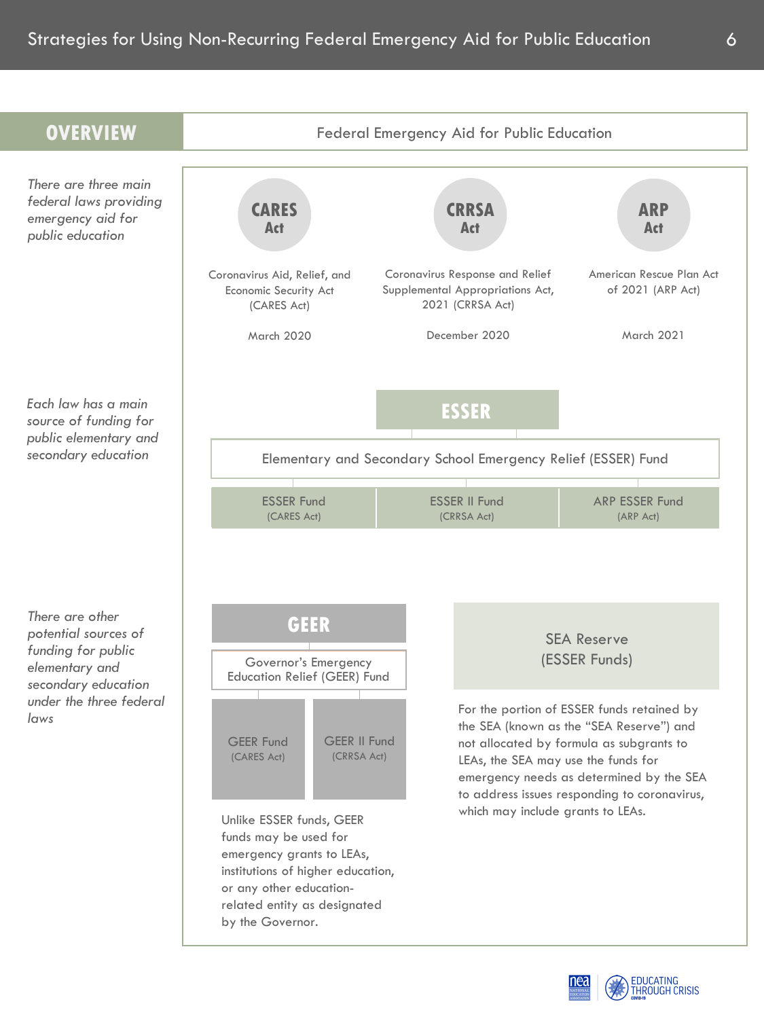

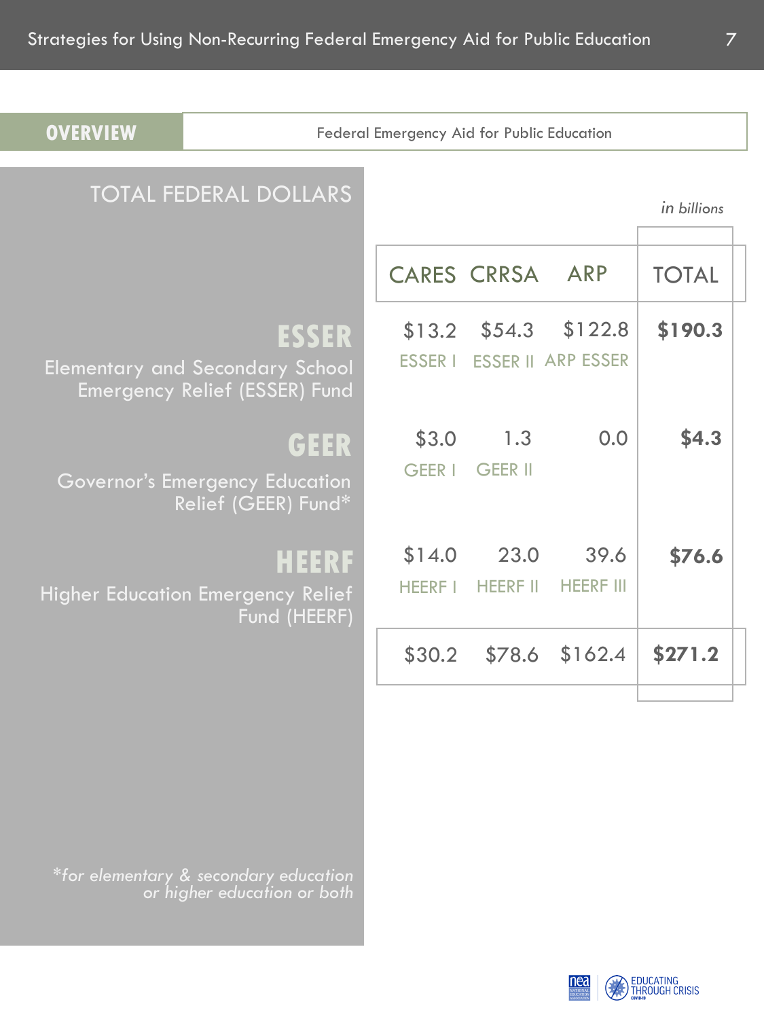| <b>OVERVIEW</b> |                                                                                  | Federal Emergency Aid for Public Education |                         |                                      |              |  |
|-----------------|----------------------------------------------------------------------------------|--------------------------------------------|-------------------------|--------------------------------------|--------------|--|
|                 | <b>TOTAL FEDERAL DOLLARS</b>                                                     |                                            |                         |                                      | in billions  |  |
|                 |                                                                                  |                                            | <b>CARES CRRSA</b>      | <b>ARP</b>                           | <b>TOTAL</b> |  |
|                 | ESSER<br><b>Elementary and Secondary School</b><br>Emergency Relief (ESSER) Fund | \$13.2<br><b>ESSER I</b>                   | \$54.3                  | \$122.8<br><b>ESSER II ARP ESSER</b> | \$190.3      |  |
|                 | GEER<br>Governor's Emergency Education<br>Relief (GEER) Fund*                    | \$3.0<br>GEER I                            | 1.3<br><b>GEER II</b>   | 0.0                                  | \$4.3        |  |
|                 | <b>HEERF</b><br><b>Higher Education Emergency Relief</b><br>Fund (HEERF)         | \$14.0<br><b>HEERF I</b>                   | 23.0<br><b>HEERF II</b> | 39.6<br><b>HEERF III</b>             | \$76.6       |  |
|                 |                                                                                  | \$30.2                                     |                         | \$78.6 \$162.4                       | \$271.2      |  |
|                 |                                                                                  |                                            |                         |                                      |              |  |

*\*for elementary & secondary education or higher education or both*

EDUCATING<br>THROUGH CRISIS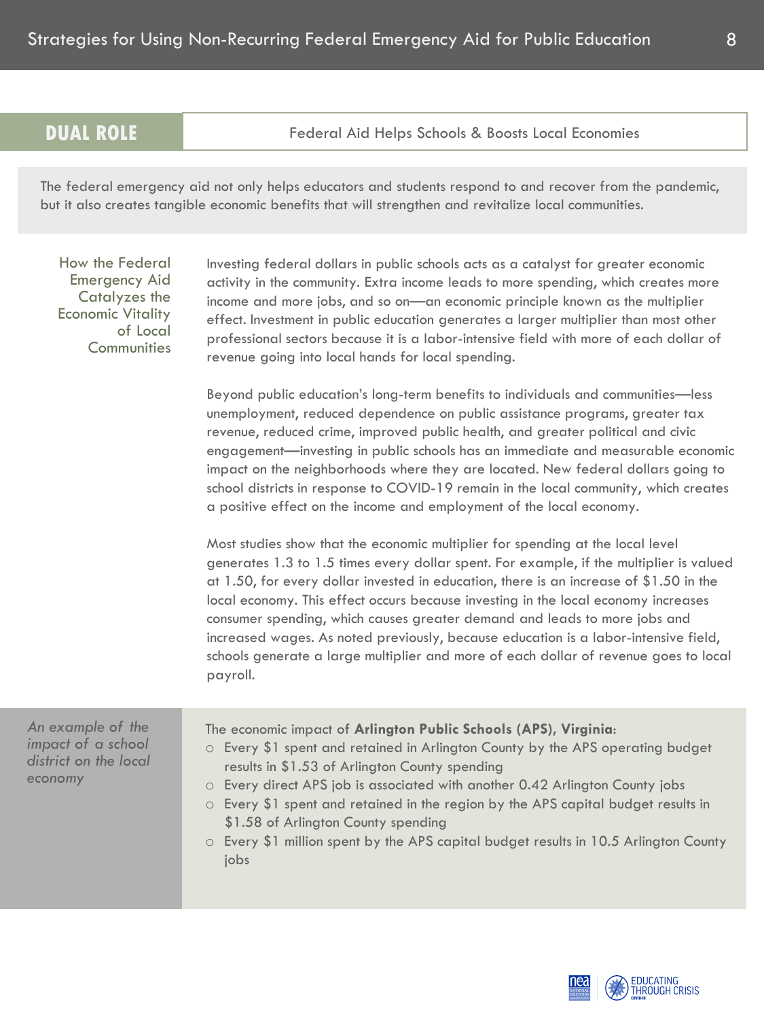**DUAL ROLE** Federal Aid Helps Schools & Boosts Local Economies

The federal emergency aid not only helps educators and students respond to and recover from the pandemic, but it also creates tangible economic benefits that will strengthen and revitalize local communities.

How the Federal Emergency Aid Catalyzes the Economic Vitality of Local **Communities** 

Investing federal dollars in public schools acts as a catalyst for greater economic activity in the community. Extra income leads to more spending, which creates more income and more jobs, and so on—an economic principle known as the multiplier effect. Investment in public education generates a larger multiplier than most other professional sectors because it is a labor-intensive field with more of each dollar of revenue going into local hands for local spending.

Beyond public education's long-term benefits to individuals and communities—less unemployment, reduced dependence on public assistance programs, greater tax revenue, reduced crime, improved public health, and greater political and civic engagement—investing in public schools has an immediate and measurable economic impact on the neighborhoods where they are located. New federal dollars going to school districts in response to COVID-19 remain in the local community, which creates a positive effect on the income and employment of the local economy.

Most studies show that the economic multiplier for spending at the local level generates 1.3 to 1.5 times every dollar spent. For example, if the multiplier is valued at 1.50, for every dollar invested in education, there is an increase of \$1.50 in the local economy. This effect occurs because investing in the local economy increases consumer spending, which causes greater demand and leads to more jobs and increased wages. As noted previously, because education is a labor-intensive field, schools generate a large multiplier and more of each dollar of revenue goes to local payroll.

*An example of the impact of a school district on the local economy*

The economic impact of **Arlington Public Schools (APS), Virginia**:

- o Every \$1 spent and retained in Arlington County by the APS operating budget results in \$1.53 of Arlington County spending
- o Every direct APS job is associated with another 0.42 Arlington County jobs
- o Every \$1 spent and retained in the region by the APS capital budget results in \$1.58 of Arlington County spending
- o Every \$1 million spent by the APS capital budget results in 10.5 Arlington County jobs

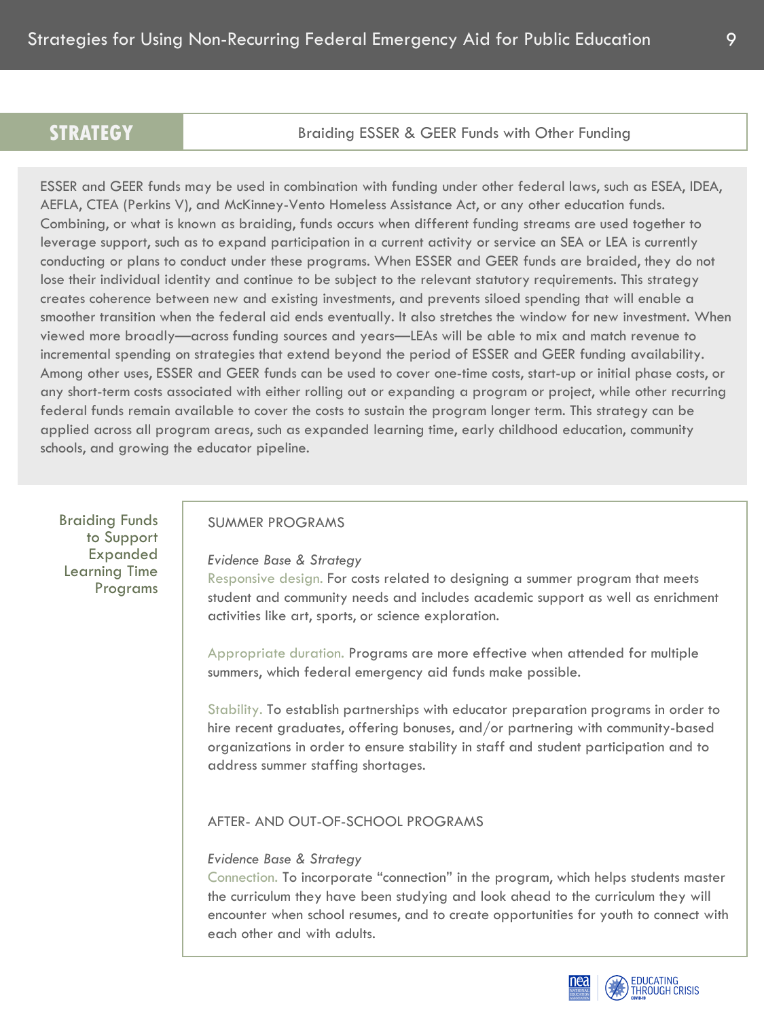Braiding ESSER & GEER Funds with Other Funding

ESSER and GEER funds may be used in combination with funding under other federal laws, such as ESEA, IDEA, AEFLA, CTEA (Perkins V), and McKinney-Vento Homeless Assistance Act, or any other education funds. Combining, or what is known as braiding, funds occurs when different funding streams are used together to leverage support, such as to expand participation in a current activity or service an SEA or LEA is currently conducting or plans to conduct under these programs. When ESSER and GEER funds are braided, they do not lose their individual identity and continue to be subject to the relevant statutory requirements. This strategy creates coherence between new and existing investments, and prevents siloed spending that will enable a smoother transition when the federal aid ends eventually. It also stretches the window for new investment. When viewed more broadly—across funding sources and years—LEAs will be able to mix and match revenue to incremental spending on strategies that extend beyond the period of ESSER and GEER funding availability. Among other uses, ESSER and GEER funds can be used to cover one-time costs, start-up or initial phase costs, or any short-term costs associated with either rolling out or expanding a program or project, while other recurring federal funds remain available to cover the costs to sustain the program longer term. This strategy can be applied across all program areas, such as expanded learning time, early childhood education, community schools, and growing the educator pipeline.

Braiding Funds to Support Expanded Learning Time Programs

## SUMMER PROGRAMS

#### *Evidence Base & Strategy*

Responsive design. For costs related to designing a summer program that meets student and community needs and includes academic support as well as enrichment activities like art, sports, or science exploration.

Appropriate duration. Programs are more effective when attended for multiple summers, which federal emergency aid funds make possible.

Stability. To establish partnerships with educator preparation programs in order to hire recent graduates, offering bonuses, and/or partnering with community-based organizations in order to ensure stability in staff and student participation and to address summer staffing shortages.

## AFTER- AND OUT-OF-SCHOOL PROGRAMS

## *Evidence Base & Strategy*

Connection. To incorporate "connection" in the program, which helps students master the curriculum they have been studying and look ahead to the curriculum they will encounter when school resumes, and to create opportunities for youth to connect with each other and with adults.



EDUCATING<br>THROUGH CRISIS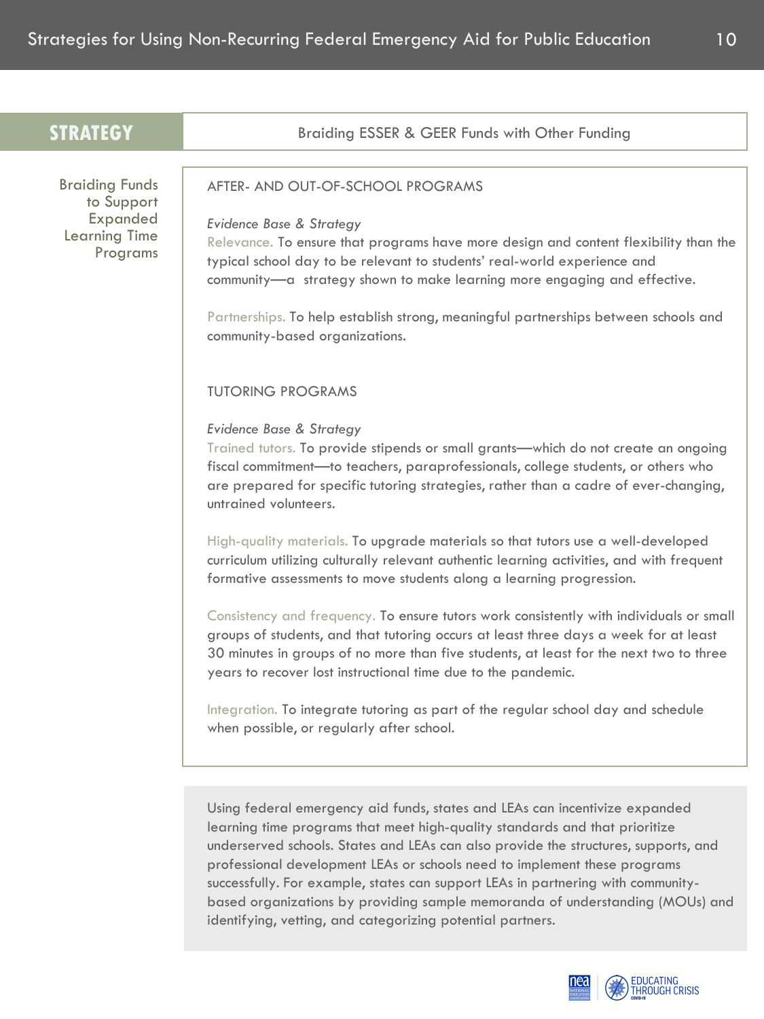| <b>STRATEGY</b>                                                                     | Braiding ESSER & GEER Funds with Other Funding                                                                                                                                                                                                                                                                                                                                                                                                                                                                                                                                                                                                                                                                                        |
|-------------------------------------------------------------------------------------|---------------------------------------------------------------------------------------------------------------------------------------------------------------------------------------------------------------------------------------------------------------------------------------------------------------------------------------------------------------------------------------------------------------------------------------------------------------------------------------------------------------------------------------------------------------------------------------------------------------------------------------------------------------------------------------------------------------------------------------|
|                                                                                     |                                                                                                                                                                                                                                                                                                                                                                                                                                                                                                                                                                                                                                                                                                                                       |
| <b>Braiding Funds</b><br>to Support<br>Expanded<br><b>Learning Time</b><br>Programs | AFTER- AND OUT-OF-SCHOOL PROGRAMS<br>Evidence Base & Strategy<br>Relevance. To ensure that programs have more design and content flexibility than the<br>typical school day to be relevant to students' real-world experience and<br>community-a strategy shown to make learning more engaging and effective.<br>Partnerships. To help establish strong, meaningful partnerships between schools and<br>community-based organizations.                                                                                                                                                                                                                                                                                                |
|                                                                                     | <b>TUTORING PROGRAMS</b><br>Evidence Base & Strategy<br>Trained tutors. To provide stipends or small grants—which do not create an ongoing<br>fiscal commitment-to teachers, paraprofessionals, college students, or others who<br>are prepared for specific tutoring strategies, rather than a cadre of ever-changing,<br>untrained volunteers.                                                                                                                                                                                                                                                                                                                                                                                      |
|                                                                                     | High-quality materials. To upgrade materials so that tutors use a well-developed<br>curriculum utilizing culturally relevant authentic learning activities, and with frequent<br>formative assessments to move students along a learning progression.<br>Consistency and frequency. To ensure tutors work consistently with individuals or small<br>groups of students, and that tutoring occurs at least three days a week for at least<br>30 minutes in groups of no more than five students, at least for the next two to three<br>years to recover lost instructional time due to the pandemic.<br>Integration. To integrate tutoring as part of the regular school day and schedule<br>when possible, or regularly after school. |
|                                                                                     | Using federal emergency aid funds, states and LEAs can incentivize expanded<br>learning time programs that meet high-quality standards and that prioritize<br>underserved schools. States and IFAs can also provide the structures supports and                                                                                                                                                                                                                                                                                                                                                                                                                                                                                       |

ares and LEAs can also provide the structures, supports, and professional development LEAs or schools need to implement these programs successfully. For example, states can support LEAs in partnering with communitybased organizations by providing sample memoranda of understanding (MOUs) and identifying, vetting, and categorizing potential partners.



10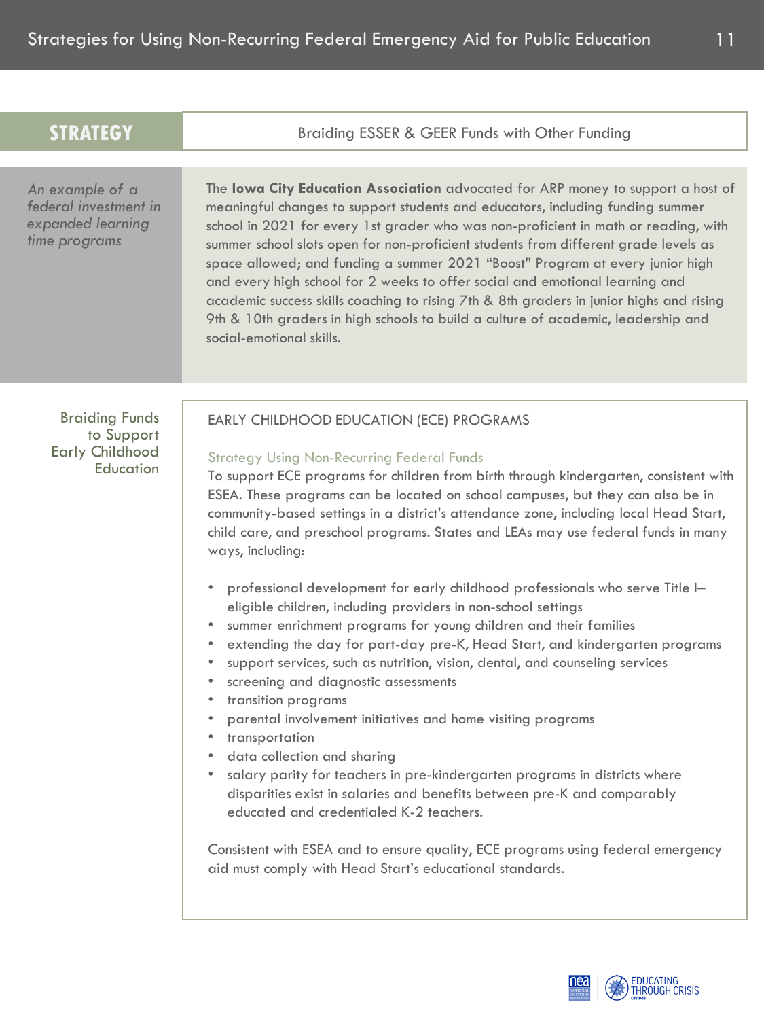| <b>STRATEGY</b>                                                                | Braiding ESSER & GEER Funds with Other Funding                                                                                                                                                                                                                                                                                                                                                                                                                                                                                                                                                                                                                                                                                                                                                                                                                                                                                                                                                                                                                                                                                                                                                                                                                                                                                                                                                                                          |
|--------------------------------------------------------------------------------|-----------------------------------------------------------------------------------------------------------------------------------------------------------------------------------------------------------------------------------------------------------------------------------------------------------------------------------------------------------------------------------------------------------------------------------------------------------------------------------------------------------------------------------------------------------------------------------------------------------------------------------------------------------------------------------------------------------------------------------------------------------------------------------------------------------------------------------------------------------------------------------------------------------------------------------------------------------------------------------------------------------------------------------------------------------------------------------------------------------------------------------------------------------------------------------------------------------------------------------------------------------------------------------------------------------------------------------------------------------------------------------------------------------------------------------------|
| An example of a<br>federal investment in<br>expanded learning<br>time programs | The lowa City Education Association advocated for ARP money to support a host of<br>meaningful changes to support students and educators, including funding summer<br>school in 2021 for every 1st grader who was non-proficient in math or reading, with<br>summer school slots open for non-proficient students from different grade levels as<br>space allowed; and funding a summer 2021 "Boost" Program at every junior high<br>and every high school for 2 weeks to offer social and emotional learning and<br>academic success skills coaching to rising 7th & 8th graders in junior highs and rising<br>9th & 10th graders in high schools to build a culture of academic, leadership and<br>social-emotional skills.                                                                                                                                                                                                                                                                                                                                                                                                                                                                                                                                                                                                                                                                                                           |
| <b>Braiding Funds</b><br>to Support<br><b>Early Childhood</b><br>Education     | EARLY CHILDHOOD EDUCATION (ECE) PROGRAMS<br><b>Strategy Using Non-Recurring Federal Funds</b><br>To support ECE programs for children from birth through kindergarten, consistent with<br>ESEA. These programs can be located on school campuses, but they can also be in<br>community-based settings in a district's attendance zone, including local Head Start,<br>child care, and preschool programs. States and LEAs may use federal funds in many<br>ways, including:<br>professional development for early childhood professionals who serve Title I-<br>۰<br>eligible children, including providers in non-school settings<br>summer enrichment programs for young children and their families<br>$\bullet$<br>extending the day for part-day pre-K, Head Start, and kindergarten programs<br>۰<br>support services, such as nutrition, vision, dental, and counseling services<br>$\bullet$<br>screening and diagnostic assessments<br>transition programs<br>parental involvement initiatives and home visiting programs<br>transportation<br>data collection and sharing<br>salary parity for teachers in pre-kindergarten programs in districts where<br>disparities exist in salaries and benefits between pre-K and comparably<br>educated and credentialed K-2 teachers.<br>Consistent with ESEA and to ensure quality, ECE programs using federal emergency<br>aid must comply with Head Start's educational standards. |



11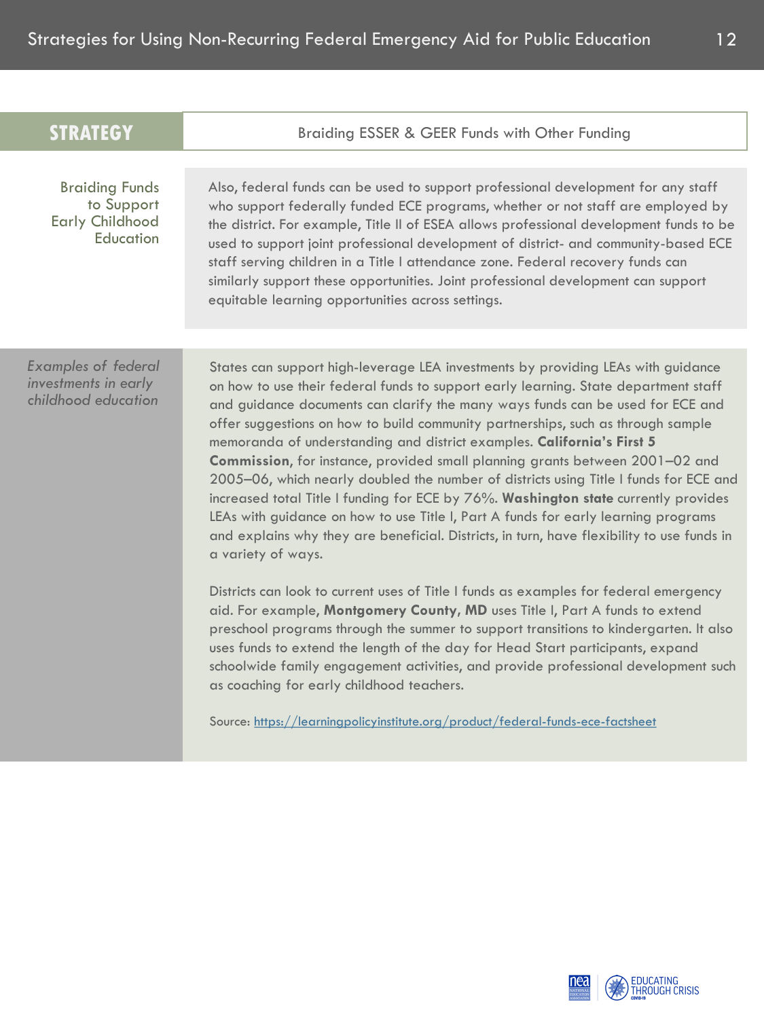| <b>STRATEGY</b>                                                            | Braiding ESSER & GEER Funds with Other Funding                                                                                                                                                                                                                                                                                                                                                                                                                                                                                                                                                                                                                                                                                                                                                                                                                                                    |
|----------------------------------------------------------------------------|---------------------------------------------------------------------------------------------------------------------------------------------------------------------------------------------------------------------------------------------------------------------------------------------------------------------------------------------------------------------------------------------------------------------------------------------------------------------------------------------------------------------------------------------------------------------------------------------------------------------------------------------------------------------------------------------------------------------------------------------------------------------------------------------------------------------------------------------------------------------------------------------------|
| <b>Braiding Funds</b><br>to Support<br><b>Early Childhood</b><br>Education | Also, federal funds can be used to support professional development for any staff<br>who support federally funded ECE programs, whether or not staff are employed by<br>the district. For example, Title II of ESEA allows professional development funds to be<br>used to support joint professional development of district- and community-based ECE<br>staff serving children in a Title I attendance zone. Federal recovery funds can<br>similarly support these opportunities. Joint professional development can support<br>equitable learning opportunities across settings.                                                                                                                                                                                                                                                                                                               |
| <b>Examples of federal</b><br>investments in early<br>childhood education  | States can support high-leverage LEA investments by providing LEAs with guidance<br>on how to use their federal funds to support early learning. State department staff<br>and guidance documents can clarify the many ways funds can be used for ECE and<br>offer suggestions on how to build community partnerships, such as through sample<br>memoranda of understanding and district examples. California's First 5<br>Commission, for instance, provided small planning grants between 2001-02 and<br>2005-06, which nearly doubled the number of districts using Title I funds for ECE and<br>increased total Title I funding for ECE by 76%. Washington state currently provides<br>LEAs with guidance on how to use Title I, Part A funds for early learning programs<br>and explains why they are beneficial. Districts, in turn, have flexibility to use funds in<br>a variety of ways. |
|                                                                            | Districts can look to current uses of Title I funds as examples for federal emergency<br>aid. For example, Montgomery County, MD uses Title I, Part A funds to extend<br>preschool programs through the summer to support transitions to kindergarten. It also<br>uses funds to extend the length of the day for Head Start participants, expand<br>schoolwide family engagement activities, and provide professional development such<br>as coaching for early childhood teachers.<br>Source: https://learningpolicyinstitute.org/product/federal-funds-ece-factsheet                                                                                                                                                                                                                                                                                                                            |

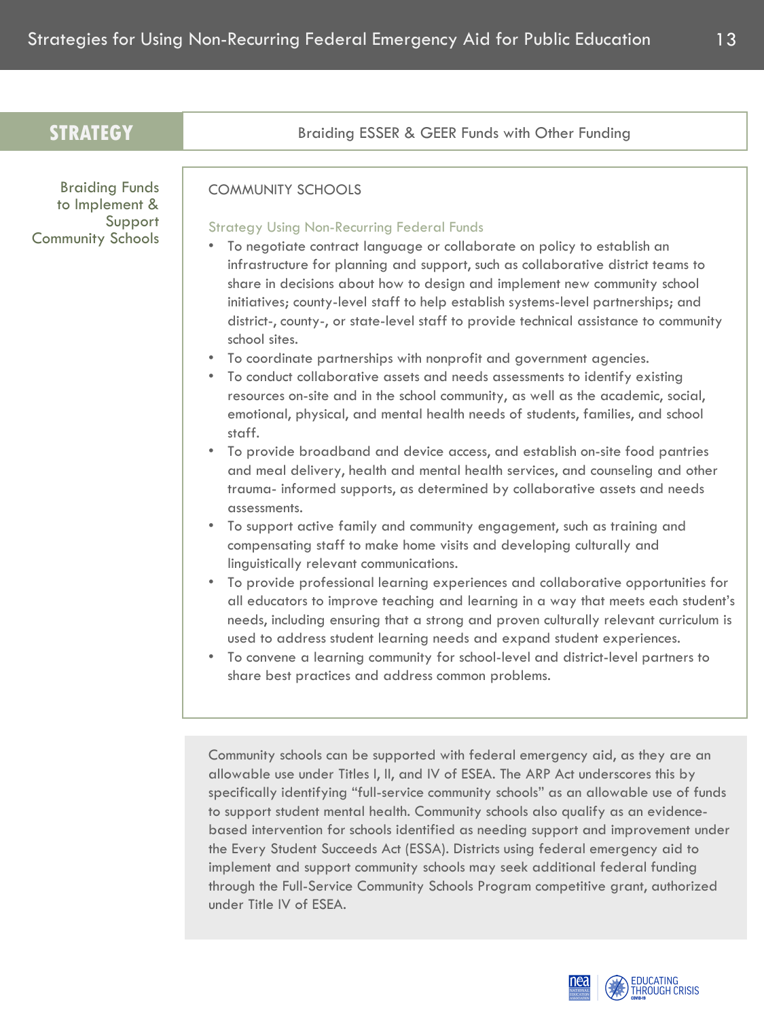| <b>STRATEGY</b>                                                                | Braiding ESSER & GEER Funds with Other Funding                                                                                                                                                                                                                                                                                                                                                                                                                                                                                                                                                                                                                                                                                                                                                                                                                                                                                                                                                                                                                                                                                                                                                                                                                                                                                                                                                                                                                                                                                                                                                                                                                                                                                                                                                                                                       |
|--------------------------------------------------------------------------------|------------------------------------------------------------------------------------------------------------------------------------------------------------------------------------------------------------------------------------------------------------------------------------------------------------------------------------------------------------------------------------------------------------------------------------------------------------------------------------------------------------------------------------------------------------------------------------------------------------------------------------------------------------------------------------------------------------------------------------------------------------------------------------------------------------------------------------------------------------------------------------------------------------------------------------------------------------------------------------------------------------------------------------------------------------------------------------------------------------------------------------------------------------------------------------------------------------------------------------------------------------------------------------------------------------------------------------------------------------------------------------------------------------------------------------------------------------------------------------------------------------------------------------------------------------------------------------------------------------------------------------------------------------------------------------------------------------------------------------------------------------------------------------------------------------------------------------------------------|
| <b>Braiding Funds</b><br>to Implement &<br>Support<br><b>Community Schools</b> | <b>COMMUNITY SCHOOLS</b><br><b>Strategy Using Non-Recurring Federal Funds</b><br>To negotiate contract language or collaborate on policy to establish an<br>infrastructure for planning and support, such as collaborative district teams to<br>share in decisions about how to design and implement new community school<br>initiatives; county-level staff to help establish systems-level partnerships; and<br>district-, county-, or state-level staff to provide technical assistance to community<br>school sites.<br>• To coordinate partnerships with nonprofit and government agencies.<br>To conduct collaborative assets and needs assessments to identify existing<br>resources on-site and in the school community, as well as the academic, social,<br>emotional, physical, and mental health needs of students, families, and school<br>staff.<br>To provide broadband and device access, and establish on-site food pantries<br>$\bullet$<br>and meal delivery, health and mental health services, and counseling and other<br>trauma- informed supports, as determined by collaborative assets and needs<br>assessments.<br>To support active family and community engagement, such as training and<br>compensating staff to make home visits and developing culturally and<br>linguistically relevant communications.<br>To provide professional learning experiences and collaborative opportunities for<br>$\bullet$<br>all educators to improve teaching and learning in a way that meets each student's<br>needs, including ensuring that a strong and proven culturally relevant curriculum is<br>used to address student learning needs and expand student experiences.<br>To convene a learning community for school-level and district-level partners to<br>$\bullet$<br>share best practices and address common problems. |
|                                                                                | Community schools can be supported with federal emergency aid, as they are an<br>allowable use under Titles I, II, and IV of ESEA. The ARP Act underscores this by<br>specifically identifying "full-service community schools" as an allowable use of funds<br>to support student mental health. Community schools also qualify as an evidence-<br>based intervention for schools identified as needing support and improvement under<br>the Every Student Succeeds Act (ESSA). Districts using federal emergency aid to<br>implement and support community schools may seek additional federal funding<br>through the Full-Service Community Schools Program competitive grant, authorized                                                                                                                                                                                                                                                                                                                                                                                                                                                                                                                                                                                                                                                                                                                                                                                                                                                                                                                                                                                                                                                                                                                                                         |

under Title IV of ESEA.



13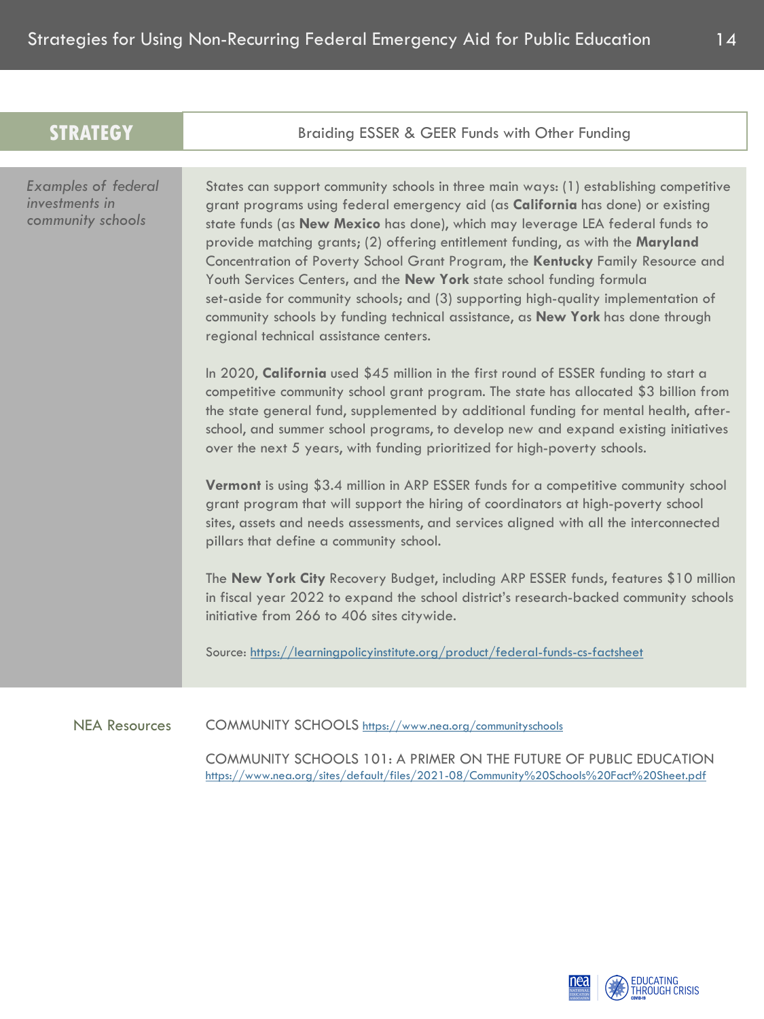| <b>STRATEGY</b>                                                   | Braiding ESSER & GEER Funds with Other Funding                                                                                                                                                                                                                                                                                                                                                                                                                                                                                                                                                                                                                                                                                     |
|-------------------------------------------------------------------|------------------------------------------------------------------------------------------------------------------------------------------------------------------------------------------------------------------------------------------------------------------------------------------------------------------------------------------------------------------------------------------------------------------------------------------------------------------------------------------------------------------------------------------------------------------------------------------------------------------------------------------------------------------------------------------------------------------------------------|
|                                                                   |                                                                                                                                                                                                                                                                                                                                                                                                                                                                                                                                                                                                                                                                                                                                    |
| <b>Examples of federal</b><br>investments in<br>community schools | States can support community schools in three main ways: (1) establishing competitive<br>grant programs using federal emergency aid (as <b>California</b> has done) or existing<br>state funds (as New Mexico has done), which may leverage LEA federal funds to<br>provide matching grants; (2) offering entitlement funding, as with the Maryland<br>Concentration of Poverty School Grant Program, the Kentucky Family Resource and<br>Youth Services Centers, and the New York state school funding formula<br>set-aside for community schools; and (3) supporting high-quality implementation of<br>community schools by funding technical assistance, as New York has done through<br>regional technical assistance centers. |
|                                                                   | In 2020, California used \$45 million in the first round of ESSER funding to start a<br>competitive community school grant program. The state has allocated \$3 billion from<br>the state general fund, supplemented by additional funding for mental health, after-<br>school, and summer school programs, to develop new and expand existing initiatives<br>over the next 5 years, with funding prioritized for high-poverty schools.                                                                                                                                                                                                                                                                                            |
|                                                                   | Vermont is using \$3.4 million in ARP ESSER funds for a competitive community school<br>grant program that will support the hiring of coordinators at high-poverty school<br>sites, assets and needs assessments, and services aligned with all the interconnected<br>pillars that define a community school.                                                                                                                                                                                                                                                                                                                                                                                                                      |
|                                                                   | The New York City Recovery Budget, including ARP ESSER funds, features \$10 million<br>in fiscal year 2022 to expand the school district's research-backed community schools<br>initiative from 266 to 406 sites citywide.                                                                                                                                                                                                                                                                                                                                                                                                                                                                                                         |
|                                                                   | Source: https://learningpolicyinstitute.org/product/federal-funds-cs-factsheet                                                                                                                                                                                                                                                                                                                                                                                                                                                                                                                                                                                                                                                     |
| <b>NEA Resources</b>                                              | COMMUNITY SCHOOLS https://www.nea.org/communityschools                                                                                                                                                                                                                                                                                                                                                                                                                                                                                                                                                                                                                                                                             |

COMMUNITY SCHOOLS 101: A PRIMER ON THE FUTURE OF PUBLIC EDUCATION <https://www.nea.org/sites/default/files/2021-08/Community%20Schools%20Fact%20Sheet.pdf>

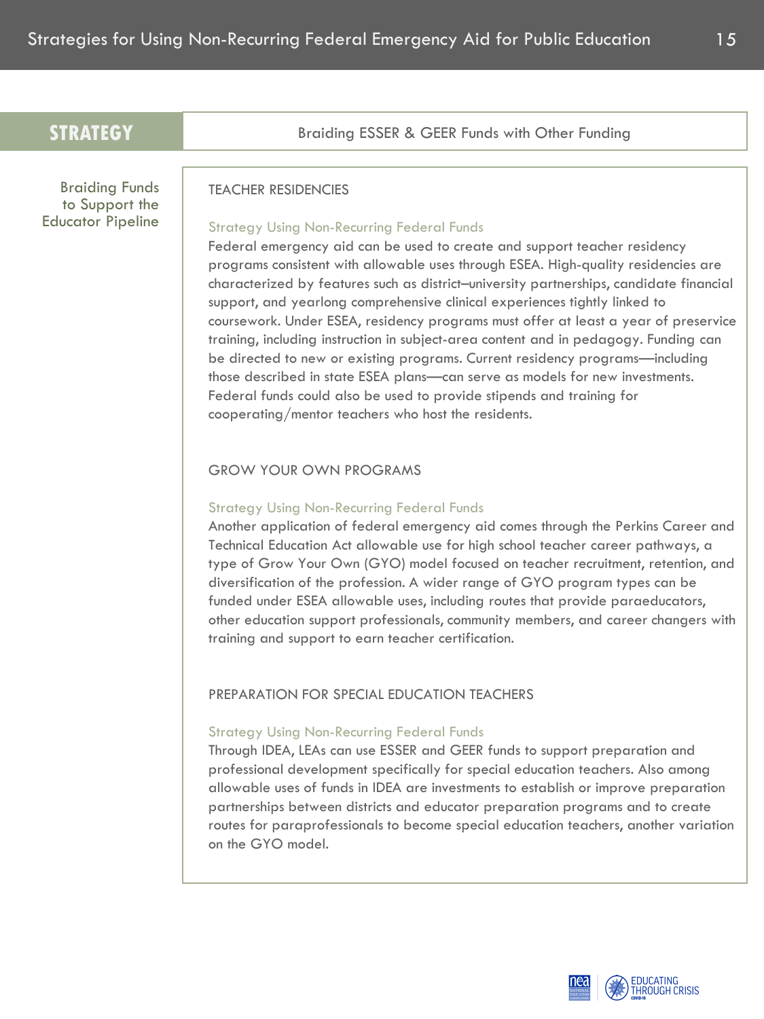| <b>TEACHER RESIDENCIES</b>                                                                                                                                                                                                                                                                                                                                                                                                                                                                                                                                                                                                                                                                                                                                                                                                                                                    |
|-------------------------------------------------------------------------------------------------------------------------------------------------------------------------------------------------------------------------------------------------------------------------------------------------------------------------------------------------------------------------------------------------------------------------------------------------------------------------------------------------------------------------------------------------------------------------------------------------------------------------------------------------------------------------------------------------------------------------------------------------------------------------------------------------------------------------------------------------------------------------------|
| <b>Strategy Using Non-Recurring Federal Funds</b><br>Federal emergency aid can be used to create and support teacher residency<br>programs consistent with allowable uses through ESEA. High-quality residencies are<br>characterized by features such as district-university partnerships, candidate financial<br>support, and yearlong comprehensive clinical experiences tightly linked to<br>coursework. Under ESEA, residency programs must offer at least a year of preservice<br>training, including instruction in subject-area content and in pedagogy. Funding can<br>be directed to new or existing programs. Current residency programs-including<br>those described in state ESEA plans-can serve as models for new investments.<br>Federal funds could also be used to provide stipends and training for<br>cooperating/mentor teachers who host the residents. |
| <b>GROW YOUR OWN PROGRAMS</b><br><b>Strategy Using Non-Recurring Federal Funds</b><br>Another application of federal emergency aid comes through the Perkins Career and<br>Technical Education Act allowable use for high school teacher career pathways, a<br>type of Grow Your Own (GYO) model focused on teacher recruitment, retention, and<br>diversification of the profession. A wider range of GYO program types can be<br>funded under ESEA allowable uses, including routes that provide paraeducators,<br>other education support professionals, community members, and career changers with<br>training and support to earn teacher certification.                                                                                                                                                                                                                |
| PREPARATION FOR SPECIAL EDUCATION TEACHERS<br><b>Strategy Using Non-Recurring Federal Funds</b><br>Through IDEA, LEAs can use ESSER and GEER funds to support preparation and<br>professional development specifically for special education teachers. Also among<br>allowable uses of funds in IDEA are investments to establish or improve preparation<br>partnerships between districts and educator preparation programs and to create<br>routes for paraprofessionals to become special education teachers, another variation<br>on the GYO model.                                                                                                                                                                                                                                                                                                                       |
|                                                                                                                                                                                                                                                                                                                                                                                                                                                                                                                                                                                                                                                                                                                                                                                                                                                                               |

EDUCATING<br>THROUGH CRISIS

nea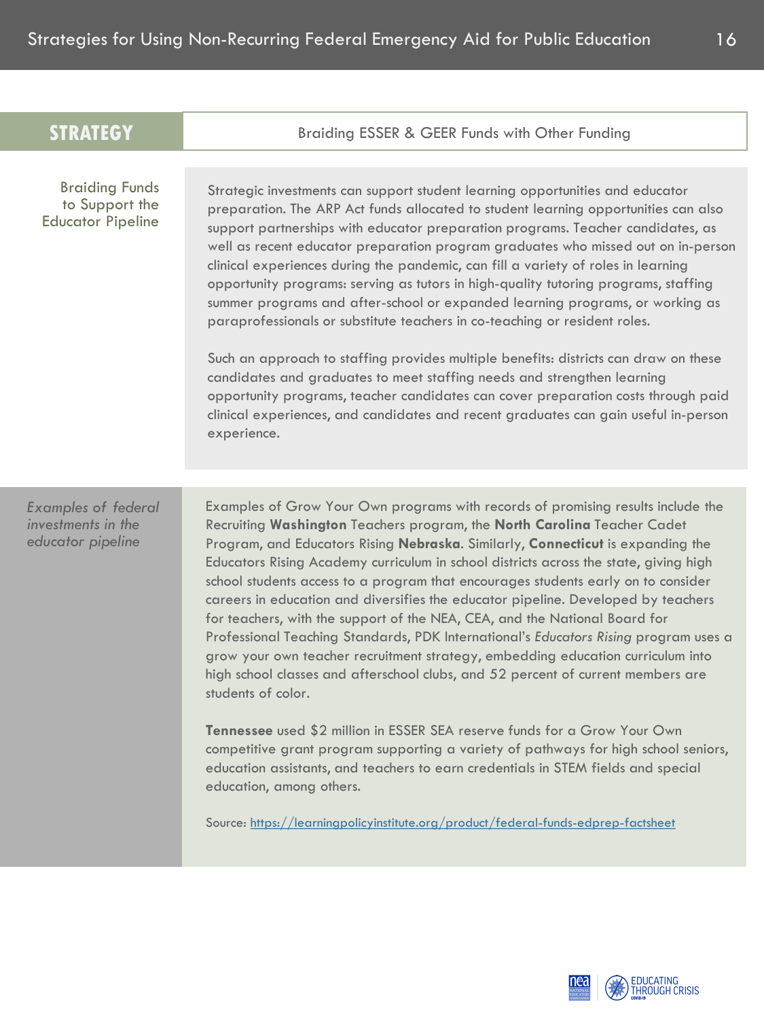| <b>STRATEGY</b>                                                       | Braiding ESSER & GEER Funds with Other Funding                                                                                                                                                                                                                                                                                                                                                                                                                                                                                                                                                                                                                                                                                                                                                                                                                                                                                                                                                                                                                                                                                                                                                                                                                   |
|-----------------------------------------------------------------------|------------------------------------------------------------------------------------------------------------------------------------------------------------------------------------------------------------------------------------------------------------------------------------------------------------------------------------------------------------------------------------------------------------------------------------------------------------------------------------------------------------------------------------------------------------------------------------------------------------------------------------------------------------------------------------------------------------------------------------------------------------------------------------------------------------------------------------------------------------------------------------------------------------------------------------------------------------------------------------------------------------------------------------------------------------------------------------------------------------------------------------------------------------------------------------------------------------------------------------------------------------------|
|                                                                       |                                                                                                                                                                                                                                                                                                                                                                                                                                                                                                                                                                                                                                                                                                                                                                                                                                                                                                                                                                                                                                                                                                                                                                                                                                                                  |
| <b>Braiding Funds</b><br>to Support the<br><b>Educator Pipeline</b>   | Strategic investments can support student learning opportunities and educator<br>preparation. The ARP Act funds allocated to student learning opportunities can also<br>support partnerships with educator preparation programs. Teacher candidates, as<br>well as recent educator preparation program graduates who missed out on in-person<br>clinical experiences during the pandemic, can fill a variety of roles in learning<br>opportunity programs: serving as tutors in high-quality tutoring programs, staffing<br>summer programs and after-school or expanded learning programs, or working as<br>paraprofessionals or substitute teachers in co-teaching or resident roles.<br>Such an approach to staffing provides multiple benefits: districts can draw on these<br>candidates and graduates to meet staffing needs and strengthen learning<br>opportunity programs, teacher candidates can cover preparation costs through paid<br>clinical experiences, and candidates and recent graduates can gain useful in-person<br>experience.                                                                                                                                                                                                            |
|                                                                       |                                                                                                                                                                                                                                                                                                                                                                                                                                                                                                                                                                                                                                                                                                                                                                                                                                                                                                                                                                                                                                                                                                                                                                                                                                                                  |
| <b>Examples of federal</b><br>investments in the<br>educator pipeline | Examples of Grow Your Own programs with records of promising results include the<br>Recruiting Washington Teachers program, the North Carolina Teacher Cadet<br>Program, and Educators Rising Nebraska. Similarly, Connecticut is expanding the<br>Educators Rising Academy curriculum in school districts across the state, giving high<br>school students access to a program that encourages students early on to consider<br>careers in education and diversifies the educator pipeline. Developed by teachers<br>for teachers, with the support of the NEA, CEA, and the National Board for<br>Professional Teaching Standards, PDK International's Educators Rising program uses a<br>grow your own teacher recruitment strategy, embedding education curriculum into<br>high school classes and afterschool clubs, and 52 percent of current members are<br>students of color.<br>Tennessee used \$2 million in ESSER SEA reserve funds for a Grow Your Own<br>competitive grant program supporting a variety of pathways for high school seniors,<br>education assistants, and teachers to earn credentials in STEM fields and special<br>education, among others.<br>Source: https://learningpolicyinstitute.org/product/federal-funds-edprep-factsheet |

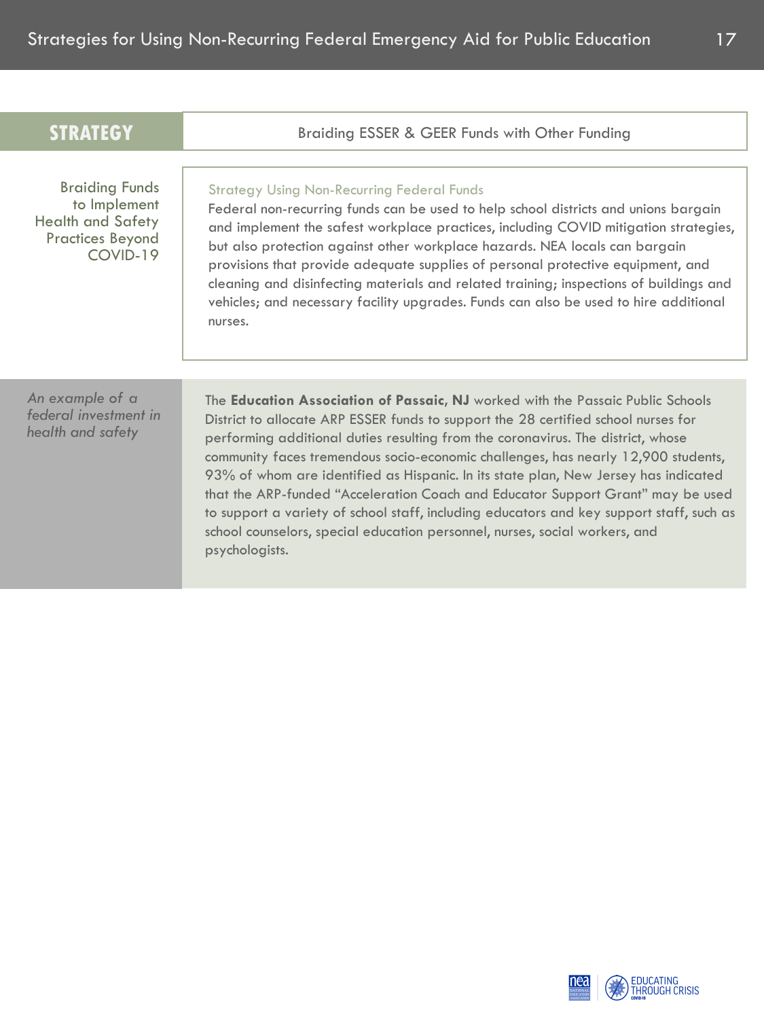| <b>STRATEGY</b>                                                                                          | Braiding ESSER & GEER Funds with Other Funding                                                                                                                                                                                                                                                                                                                                                                                                                                                                                                                                                                                                                                                                               |
|----------------------------------------------------------------------------------------------------------|------------------------------------------------------------------------------------------------------------------------------------------------------------------------------------------------------------------------------------------------------------------------------------------------------------------------------------------------------------------------------------------------------------------------------------------------------------------------------------------------------------------------------------------------------------------------------------------------------------------------------------------------------------------------------------------------------------------------------|
| <b>Braiding Funds</b><br>to Implement<br><b>Health and Safety</b><br><b>Practices Beyond</b><br>COVID-19 | <b>Strategy Using Non-Recurring Federal Funds</b><br>Federal non-recurring funds can be used to help school districts and unions bargain<br>and implement the safest workplace practices, including COVID mitigation strategies,<br>but also protection against other workplace hazards. NEA locals can bargain<br>provisions that provide adequate supplies of personal protective equipment, and<br>cleaning and disinfecting materials and related training; inspections of buildings and<br>vehicles; and necessary facility upgrades. Funds can also be used to hire additional<br>nurses.                                                                                                                              |
| An example of a<br>federal investment in<br>health and safety                                            | The <b>Education Association of Passaic, NJ</b> worked with the Passaic Public Schools<br>District to allocate ARP ESSER funds to support the 28 certified school nurses for<br>performing additional duties resulting from the coronavirus. The district, whose<br>community faces tremendous socio-economic challenges, has nearly 12,900 students,<br>93% of whom are identified as Hispanic. In its state plan, New Jersey has indicated<br>that the ARP-funded "Acceleration Coach and Educator Support Grant" may be used<br>to support a variety of school staff, including educators and key support staff, such as<br>school counselors, special education personnel, nurses, social workers, and<br>psychologists. |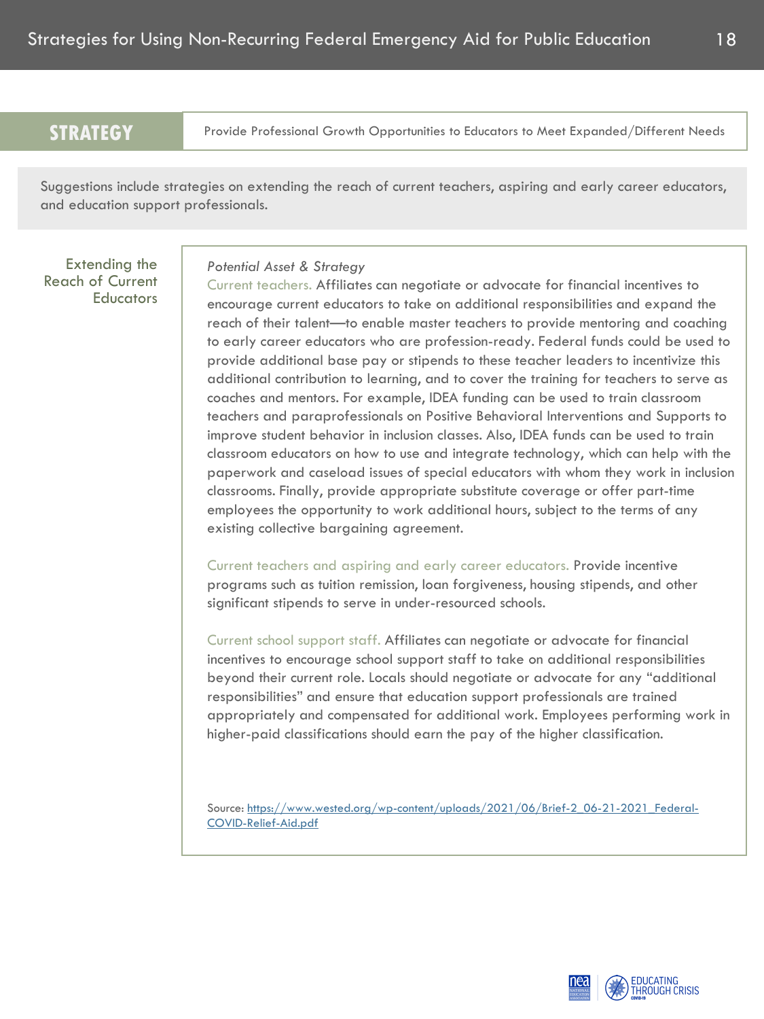Provide Professional Growth Opportunities to Educators to Meet Expanded/Different Needs

Suggestions include strategies on extending the reach of current teachers, aspiring and early career educators, and education support professionals.

Extending the Reach of Current **Educators** 

#### *Potential Asset & Strategy*

Current teachers. Affiliates can negotiate or advocate for financial incentives to encourage current educators to take on additional responsibilities and expand the reach of their talent—to enable master teachers to provide mentoring and coaching to early career educators who are profession-ready. Federal funds could be used to provide additional base pay or stipends to these teacher leaders to incentivize this additional contribution to learning, and to cover the training for teachers to serve as coaches and mentors. For example, IDEA funding can be used to train classroom teachers and paraprofessionals on Positive Behavioral Interventions and Supports to improve student behavior in inclusion classes. Also, IDEA funds can be used to train classroom educators on how to use and integrate technology, which can help with the paperwork and caseload issues of special educators with whom they work in inclusion classrooms. Finally, provide appropriate substitute coverage or offer part-time employees the opportunity to work additional hours, subject to the terms of any existing collective bargaining agreement.

Current teachers and aspiring and early career educators. Provide incentive programs such as tuition remission, loan forgiveness, housing stipends, and other significant stipends to serve in under-resourced schools.

Current school support staff. Affiliates can negotiate or advocate for financial incentives to encourage school support staff to take on additional responsibilities beyond their current role. Locals should negotiate or advocate for any "additional responsibilities" and ensure that education support professionals are trained appropriately and compensated for additional work. Employees performing work in higher-paid classifications should earn the pay of the higher classification.

[Source: https://www.wested.org/wp-content/uploads/2021/06/Brief-2\\_06-21-2021\\_Federal-](https://www.wested.org/wp-content/uploads/2021/06/Brief-2_06-21-2021_Federal-COVID-Relief-Aid.pdf)COVID-Relief-Aid.pdf

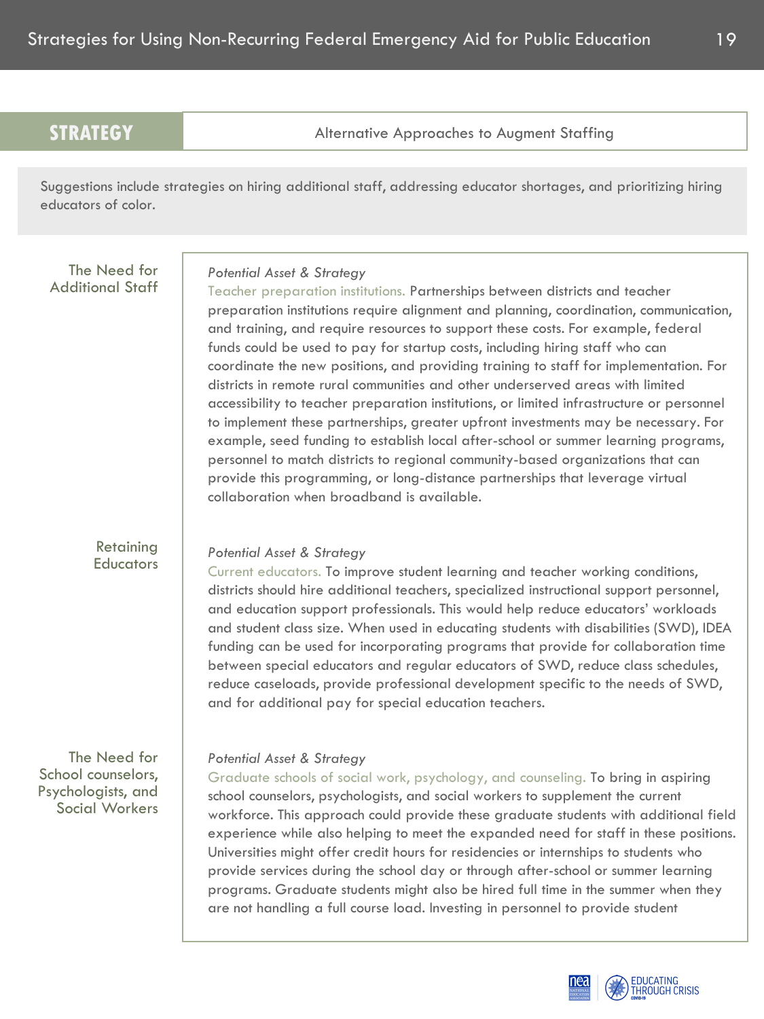Alternative Approaches to Augment Staffing

Suggestions include strategies on hiring additional staff, addressing educator shortages, and prioritizing hiring educators of color.

The Need for Additional Staff

## *Potential Asset & Strategy*

Teacher preparation institutions. Partnerships between districts and teacher preparation institutions require alignment and planning, coordination, communication, and training, and require resources to support these costs. For example, federal funds could be used to pay for startup costs, including hiring staff who can coordinate the new positions, and providing training to staff for implementation. For districts in remote rural communities and other underserved areas with limited accessibility to teacher preparation institutions, or limited infrastructure or personnel to implement these partnerships, greater upfront investments may be necessary. For example, seed funding to establish local after-school or summer learning programs, personnel to match districts to regional community-based organizations that can provide this programming, or long-distance partnerships that leverage virtual collaboration when broadband is available.

Retaining **Educators** 

## *Potential Asset & Strategy*

Current educators. To improve student learning and teacher working conditions, districts should hire additional teachers, specialized instructional support personnel, and education support professionals. This would help reduce educators' workloads and student class size. When used in educating students with disabilities (SWD), IDEA funding can be used for incorporating programs that provide for collaboration time between special educators and regular educators of SWD, reduce class schedules, reduce caseloads, provide professional development specific to the needs of SWD, and for additional pay for special education teachers.

The Need for School counselors, Psychologists, and Social Workers

## *Potential Asset & Strategy*

Graduate schools of social work, psychology, and counseling. To bring in aspiring school counselors, psychologists, and social workers to supplement the current workforce. This approach could provide these graduate students with additional field experience while also helping to meet the expanded need for staff in these positions. Universities might offer credit hours for residencies or internships to students who provide services during the school day or through after-school or summer learning programs. Graduate students might also be hired full time in the summer when they are not handling a full course load. Investing in personnel to provide student

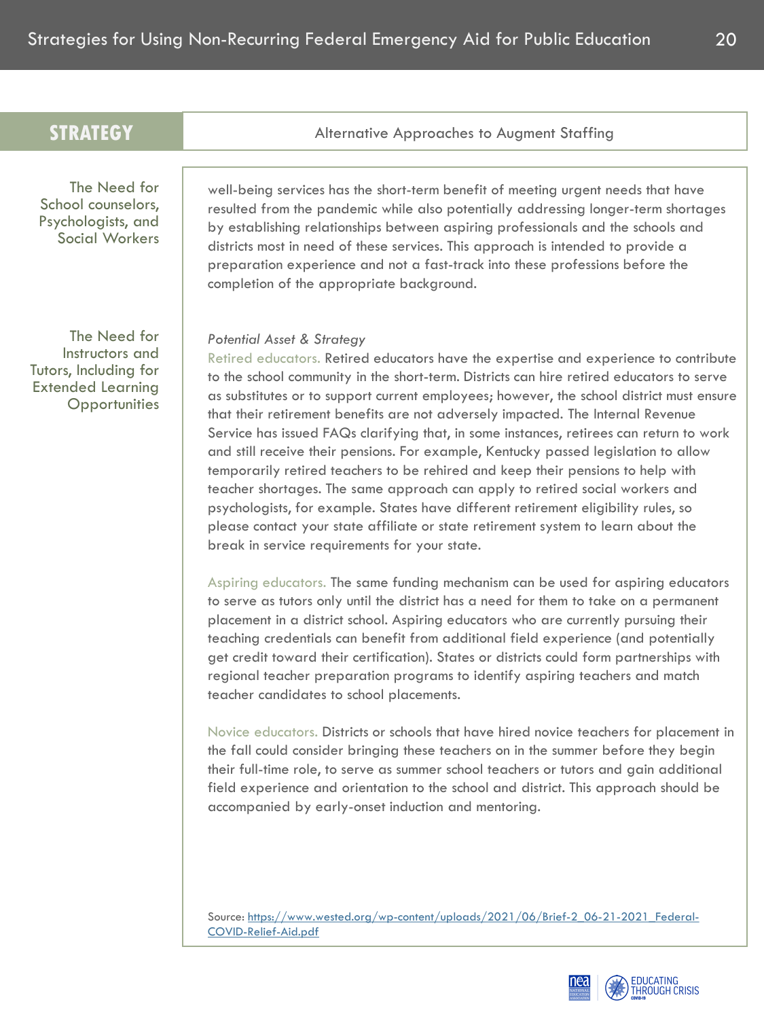| Alternative Approaches to Augment Staffing                                                                                                                                                                                                                                                                                                                                                                                                                                                                                                                                                                                                                                                                                                                                                                                                                                                                                                                                                                 |
|------------------------------------------------------------------------------------------------------------------------------------------------------------------------------------------------------------------------------------------------------------------------------------------------------------------------------------------------------------------------------------------------------------------------------------------------------------------------------------------------------------------------------------------------------------------------------------------------------------------------------------------------------------------------------------------------------------------------------------------------------------------------------------------------------------------------------------------------------------------------------------------------------------------------------------------------------------------------------------------------------------|
|                                                                                                                                                                                                                                                                                                                                                                                                                                                                                                                                                                                                                                                                                                                                                                                                                                                                                                                                                                                                            |
| well-being services has the short-term benefit of meeting urgent needs that have<br>resulted from the pandemic while also potentially addressing longer-term shortages<br>by establishing relationships between aspiring professionals and the schools and<br>districts most in need of these services. This approach is intended to provide a<br>preparation experience and not a fast-track into these professions before the<br>completion of the appropriate background.                                                                                                                                                                                                                                                                                                                                                                                                                                                                                                                               |
| <b>Potential Asset &amp; Strategy</b><br>Retired educators. Retired educators have the expertise and experience to contribute<br>to the school community in the short-term. Districts can hire retired educators to serve<br>as substitutes or to support current employees; however, the school district must ensure<br>that their retirement benefits are not adversely impacted. The Internal Revenue<br>Service has issued FAQs clarifying that, in some instances, retirees can return to work<br>and still receive their pensions. For example, Kentucky passed legislation to allow<br>temporarily retired teachers to be rehired and keep their pensions to help with<br>teacher shortages. The same approach can apply to retired social workers and<br>psychologists, for example. States have different retirement eligibility rules, so<br>please contact your state affiliate or state retirement system to learn about the<br>break in service requirements for your state.                  |
| Aspiring educators. The same funding mechanism can be used for aspiring educators<br>to serve as tutors only until the district has a need for them to take on a permanent<br>placement in a district school. Aspiring educators who are currently pursuing their<br>teaching credentials can benefit from additional field experience (and potentially<br>get credit toward their certification). States or districts could form partnerships with<br>regional teacher preparation programs to identify aspiring teachers and match<br>teacher candidates to school placements.<br>Novice educators. Districts or schools that have hired novice teachers for placement in<br>the fall could consider bringing these teachers on in the summer before they begin<br>their full-time role, to serve as summer school teachers or tutors and gain additional<br>field experience and orientation to the school and district. This approach should be<br>accompanied by early-onset induction and mentoring. |
|                                                                                                                                                                                                                                                                                                                                                                                                                                                                                                                                                                                                                                                                                                                                                                                                                                                                                                                                                                                                            |

[Source: https://www.wested.org/wp-content/uploads/2021/06/Brief-2\\_06-21-2021\\_Federal-](https://www.wested.org/wp-content/uploads/2021/06/Brief-2_06-21-2021_Federal-COVID-Relief-Aid.pdf)

COVID-Relief-Aid.pdf

EDUCATING<br>THROUGH CRISIS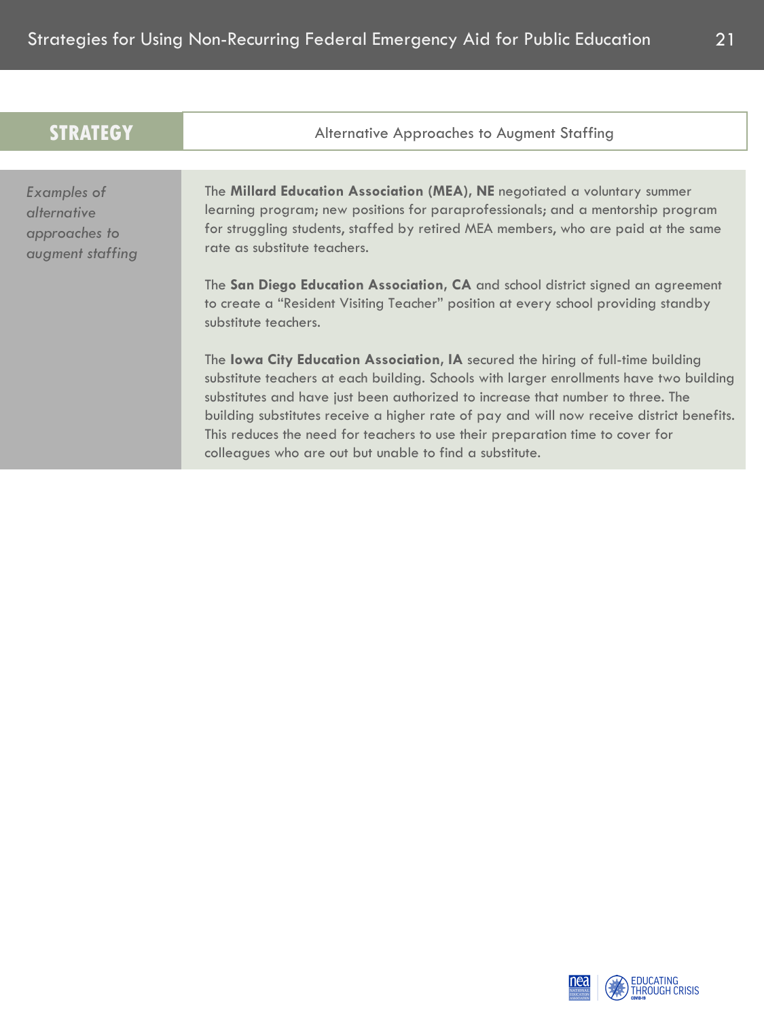| <b>STRATEGY</b>                                                        | Alternative Approaches to Augment Staffing                                                                                                                                                                                                                                                                                                                                                                                                                                                              |
|------------------------------------------------------------------------|---------------------------------------------------------------------------------------------------------------------------------------------------------------------------------------------------------------------------------------------------------------------------------------------------------------------------------------------------------------------------------------------------------------------------------------------------------------------------------------------------------|
|                                                                        |                                                                                                                                                                                                                                                                                                                                                                                                                                                                                                         |
| <b>Examples of</b><br>alternative<br>approaches to<br>augment staffing | The Millard Education Association (MEA), NE negotiated a voluntary summer<br>learning program; new positions for paraprofessionals; and a mentorship program<br>for struggling students, staffed by retired MEA members, who are paid at the same<br>rate as substitute teachers.<br>The San Diego Education Association, CA and school district signed an agreement<br>to create a "Resident Visiting Teacher" position at every school providing standby<br>substitute teachers.                      |
|                                                                        | The lowa City Education Association, IA secured the hiring of full-time building<br>substitute teachers at each building. Schools with larger enrollments have two building<br>substitutes and have just been authorized to increase that number to three. The<br>building substitutes receive a higher rate of pay and will now receive district benefits.<br>This reduces the need for teachers to use their preparation time to cover for<br>colleagues who are out but unable to find a substitute. |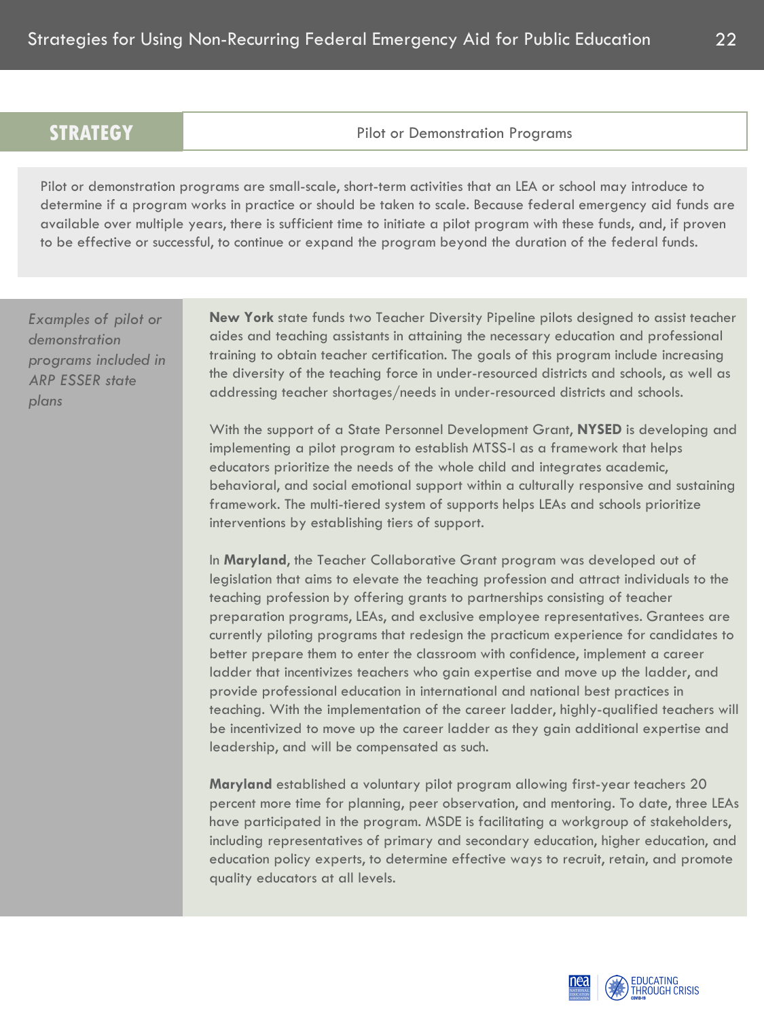Pilot or Demonstration Programs

Pilot or demonstration programs are small-scale, short-term activities that an LEA or school may introduce to determine if a program works in practice or should be taken to scale. Because federal emergency aid funds are available over multiple years, there is sufficient time to initiate a pilot program with these funds, and, if proven to be effective or successful, to continue or expand the program beyond the duration of the federal funds.

*Examples of pilot or demonstration programs included in ARP ESSER state plans*

**New York** state funds two Teacher Diversity Pipeline pilots designed to assist teacher aides and teaching assistants in attaining the necessary education and professional training to obtain teacher certification. The goals of this program include increasing the diversity of the teaching force in under-resourced districts and schools, as well as addressing teacher shortages/needs in under-resourced districts and schools.

With the support of a State Personnel Development Grant, **NYSED** is developing and implementing a pilot program to establish MTSS-I as a framework that helps educators prioritize the needs of the whole child and integrates academic, behavioral, and social emotional support within a culturally responsive and sustaining framework. The multi-tiered system of supports helps LEAs and schools prioritize interventions by establishing tiers of support.

In **Maryland**, the Teacher Collaborative Grant program was developed out of legislation that aims to elevate the teaching profession and attract individuals to the teaching profession by offering grants to partnerships consisting of teacher preparation programs, LEAs, and exclusive employee representatives. Grantees are currently piloting programs that redesign the practicum experience for candidates to better prepare them to enter the classroom with confidence, implement a career ladder that incentivizes teachers who gain expertise and move up the ladder, and provide professional education in international and national best practices in teaching. With the implementation of the career ladder, highly-qualified teachers will be incentivized to move up the career ladder as they gain additional expertise and leadership, and will be compensated as such.

**Maryland** established a voluntary pilot program allowing first-year teachers 20 percent more time for planning, peer observation, and mentoring. To date, three LEAs have participated in the program. MSDE is facilitating a workgroup of stakeholders, including representatives of primary and secondary education, higher education, and education policy experts, to determine effective ways to recruit, retain, and promote quality educators at all levels.

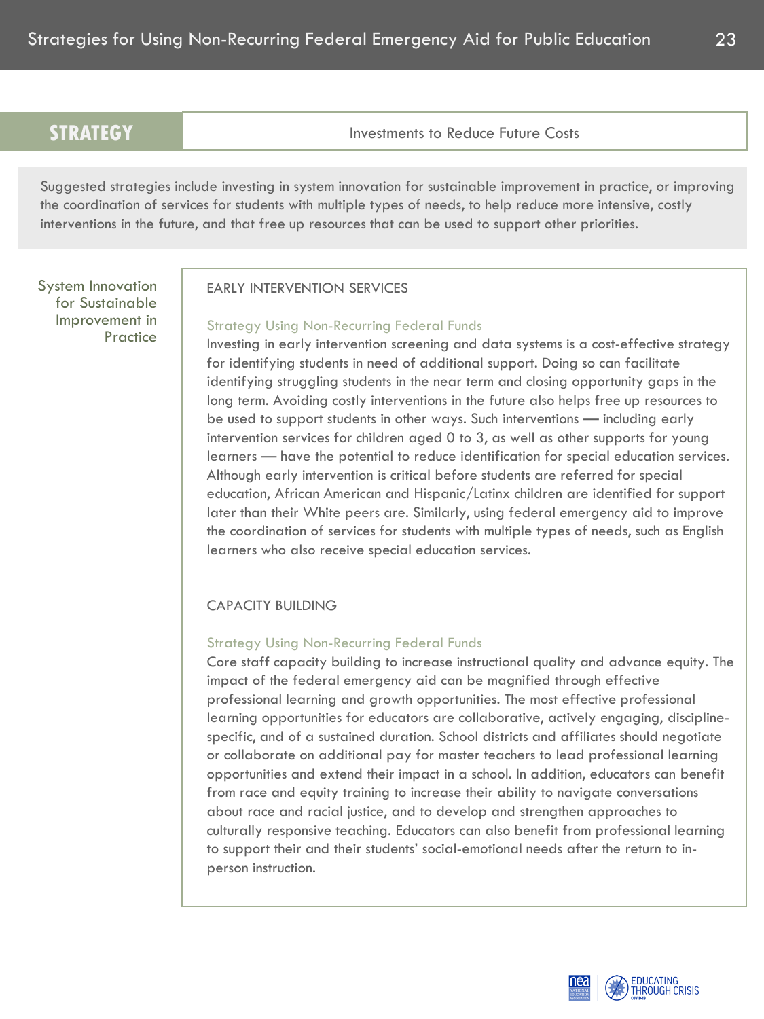**STRATEGY** Investments to Reduce Future Costs

Suggested strategies include investing in system innovation for sustainable improvement in practice, or improving the coordination of services for students with multiple types of needs, to help reduce more intensive, costly interventions in the future, and that free up resources that can be used to support other priorities.

System Innovation for Sustainable Improvement in Practice

## EARLY INTERVENTION SERVICES

## Strategy Using Non-Recurring Federal Funds

Investing in early intervention screening and data systems is a cost-effective strategy for identifying students in need of additional support. Doing so can facilitate identifying struggling students in the near term and closing opportunity gaps in the long term. Avoiding costly interventions in the future also helps free up resources to be used to support students in other ways. Such interventions — including early intervention services for children aged 0 to 3, as well as other supports for young learners — have the potential to reduce identification for special education services. Although early intervention is critical before students are referred for special education, African American and Hispanic/Latinx children are identified for support later than their White peers are. Similarly, using federal emergency aid to improve the coordination of services for students with multiple types of needs, such as English learners who also receive special education services.

## CAPACITY BUILDING

## Strategy Using Non-Recurring Federal Funds

Core staff capacity building to increase instructional quality and advance equity. The impact of the federal emergency aid can be magnified through effective professional learning and growth opportunities. The most effective professional learning opportunities for educators are collaborative, actively engaging, disciplinespecific, and of a sustained duration. School districts and affiliates should negotiate or collaborate on additional pay for master teachers to lead professional learning opportunities and extend their impact in a school. In addition, educators can benefit from race and equity training to increase their ability to navigate conversations about race and racial justice, and to develop and strengthen approaches to culturally responsive teaching. Educators can also benefit from professional learning to support their and their students' social-emotional needs after the return to inperson instruction.

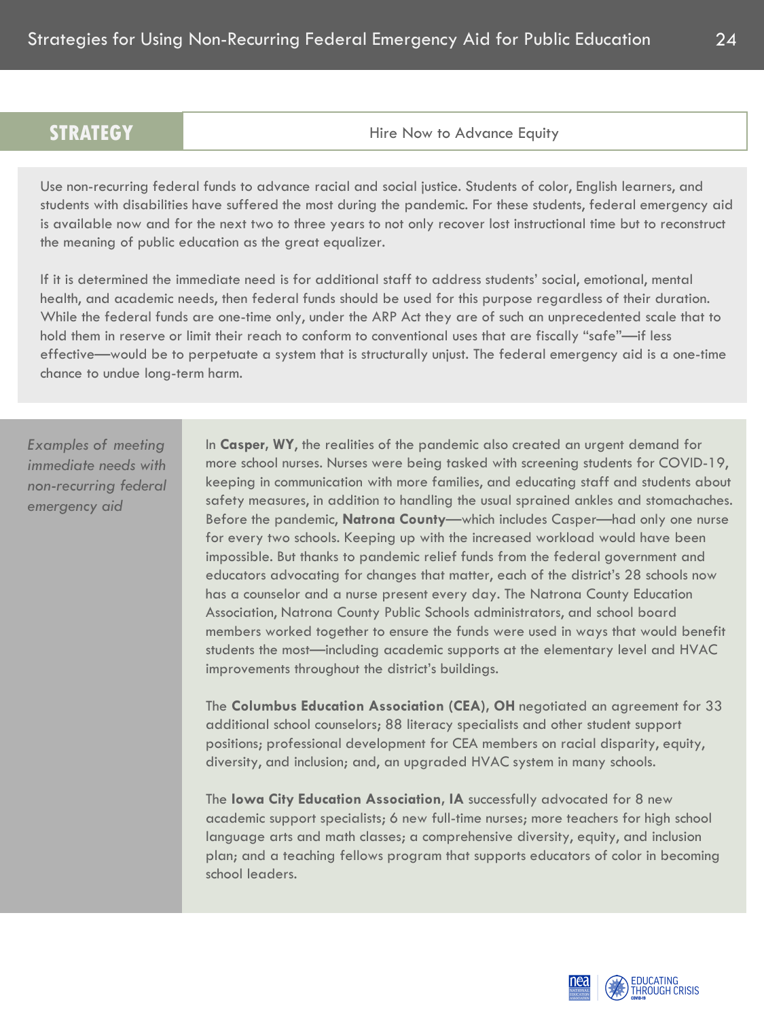Hire Now to Advance Equity

Use non-recurring federal funds to advance racial and social justice. Students of color, English learners, and students with disabilities have suffered the most during the pandemic. For these students, federal emergency aid is available now and for the next two to three years to not only recover lost instructional time but to reconstruct the meaning of public education as the great equalizer.

If it is determined the immediate need is for additional staff to address students' social, emotional, mental health, and academic needs, then federal funds should be used for this purpose regardless of their duration. While the federal funds are one-time only, under the ARP Act they are of such an unprecedented scale that to hold them in reserve or limit their reach to conform to conventional uses that are fiscally "safe"—if less effective—would be to perpetuate a system that is structurally unjust. The federal emergency aid is a one-time chance to undue long-term harm.

*Examples of meeting immediate needs with non-recurring federal emergency aid*

In **Casper, WY**, the realities of the pandemic also created an urgent demand for more school nurses. Nurses were being tasked with screening students for COVID-19, keeping in communication with more families, and educating staff and students about safety measures, in addition to handling the usual sprained ankles and stomachaches. Before the pandemic, **Natrona County**—which includes Casper—had only one nurse for every two schools. Keeping up with the increased workload would have been impossible. But thanks to pandemic relief funds from the federal government and educators advocating for changes that matter, each of the district's 28 schools now has a counselor and a nurse present every day. The Natrona County Education Association, Natrona County Public Schools administrators, and school board members worked together to ensure the funds were used in ways that would benefit students the most—including academic supports at the elementary level and HVAC improvements throughout the district's buildings.

The **Columbus Education Association (CEA), OH** negotiated an agreement for 33 additional school counselors; 88 literacy specialists and other student support positions; professional development for CEA members on racial disparity, equity, diversity, and inclusion; and, an upgraded HVAC system in many schools.

The **Iowa City Education Association, IA** successfully advocated for 8 new academic support specialists; 6 new full-time nurses; more teachers for high school language arts and math classes; a comprehensive diversity, equity, and inclusion plan; and a teaching fellows program that supports educators of color in becoming school leaders.